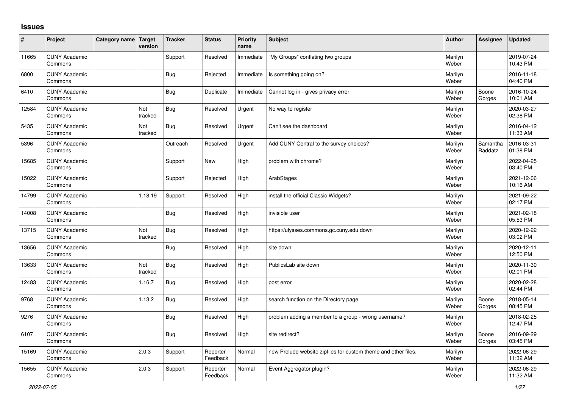## **Issues**

| ∦     | Project                         | Category name Target | version        | <b>Tracker</b> | <b>Status</b>        | <b>Priority</b><br>name | <b>Subject</b>                                                 | <b>Author</b>    | Assignee            | <b>Updated</b>         |
|-------|---------------------------------|----------------------|----------------|----------------|----------------------|-------------------------|----------------------------------------------------------------|------------------|---------------------|------------------------|
| 11665 | <b>CUNY Academic</b><br>Commons |                      |                | Support        | Resolved             | Immediate               | "My Groups" conflating two groups                              | Marilyn<br>Weber |                     | 2019-07-24<br>10:43 PM |
| 6800  | <b>CUNY Academic</b><br>Commons |                      |                | Bug            | Rejected             | Immediate               | Is something going on?                                         | Marilyn<br>Weber |                     | 2016-11-18<br>04:40 PM |
| 6410  | <b>CUNY Academic</b><br>Commons |                      |                | Bug            | Duplicate            | Immediate               | Cannot log in - gives privacy error                            | Marilyn<br>Weber | Boone<br>Gorges     | 2016-10-24<br>10:01 AM |
| 12584 | <b>CUNY Academic</b><br>Commons |                      | Not<br>tracked | Bug            | Resolved             | Urgent                  | No way to register                                             | Marilyn<br>Weber |                     | 2020-03-27<br>02:38 PM |
| 5435  | <b>CUNY Academic</b><br>Commons |                      | Not<br>tracked | Bug            | Resolved             | Urgent                  | Can't see the dashboard                                        | Marilyn<br>Weber |                     | 2016-04-12<br>11:33 AM |
| 5396  | <b>CUNY Academic</b><br>Commons |                      |                | Outreach       | Resolved             | Urgent                  | Add CUNY Central to the survey choices?                        | Marilyn<br>Weber | Samantha<br>Raddatz | 2016-03-31<br>01:38 PM |
| 15685 | <b>CUNY Academic</b><br>Commons |                      |                | Support        | <b>New</b>           | High                    | problem with chrome?                                           | Marilyn<br>Weber |                     | 2022-04-25<br>03:40 PM |
| 15022 | <b>CUNY Academic</b><br>Commons |                      |                | Support        | Rejected             | High                    | ArabStages                                                     | Marilyn<br>Weber |                     | 2021-12-06<br>10:16 AM |
| 14799 | <b>CUNY Academic</b><br>Commons |                      | 1.18.19        | Support        | Resolved             | High                    | install the official Classic Widgets?                          | Marilyn<br>Weber |                     | 2021-09-22<br>02:17 PM |
| 14008 | <b>CUNY Academic</b><br>Commons |                      |                | Bug            | Resolved             | High                    | invisible user                                                 | Marilyn<br>Weber |                     | 2021-02-18<br>05:53 PM |
| 13715 | <b>CUNY Academic</b><br>Commons |                      | Not<br>tracked | Bug            | Resolved             | High                    | https://ulysses.commons.gc.cuny.edu down                       | Marilyn<br>Weber |                     | 2020-12-22<br>03:02 PM |
| 13656 | <b>CUNY Academic</b><br>Commons |                      |                | Bug            | Resolved             | High                    | site down                                                      | Marilyn<br>Weber |                     | 2020-12-11<br>12:50 PM |
| 13633 | <b>CUNY Academic</b><br>Commons |                      | Not<br>tracked | <b>Bug</b>     | Resolved             | High                    | PublicsLab site down                                           | Marilyn<br>Weber |                     | 2020-11-30<br>02:01 PM |
| 12483 | <b>CUNY Academic</b><br>Commons |                      | 1.16.7         | Bug            | Resolved             | High                    | post error                                                     | Marilyn<br>Weber |                     | 2020-02-28<br>02:44 PM |
| 9768  | <b>CUNY Academic</b><br>Commons |                      | 1.13.2         | <b>Bug</b>     | Resolved             | High                    | search function on the Directory page                          | Marilyn<br>Weber | Boone<br>Gorges     | 2018-05-14<br>08:45 PM |
| 9276  | <b>CUNY Academic</b><br>Commons |                      |                | Bug            | Resolved             | High                    | problem adding a member to a group - wrong username?           | Marilyn<br>Weber |                     | 2018-02-25<br>12:47 PM |
| 6107  | <b>CUNY Academic</b><br>Commons |                      |                | Bug            | Resolved             | High                    | site redirect?                                                 | Marilyn<br>Weber | Boone<br>Gorges     | 2016-09-29<br>03:45 PM |
| 15169 | <b>CUNY Academic</b><br>Commons |                      | 2.0.3          | Support        | Reporter<br>Feedback | Normal                  | new Prelude website zipfiles for custom theme and other files. | Marilyn<br>Weber |                     | 2022-06-29<br>11:32 AM |
| 15655 | <b>CUNY Academic</b><br>Commons |                      | 2.0.3          | Support        | Reporter<br>Feedback | Normal                  | Event Aggregator plugin?                                       | Marilyn<br>Weber |                     | 2022-06-29<br>11:32 AM |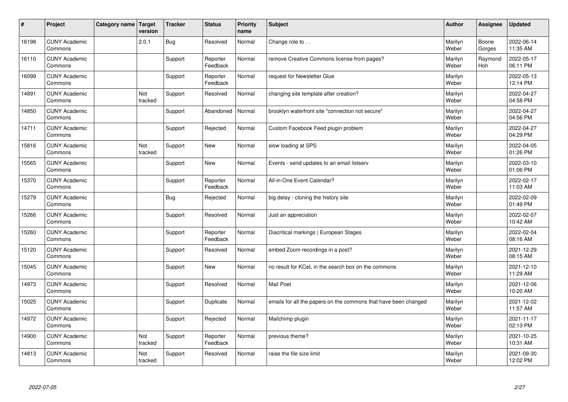| $\vert$ # | Project                         | Category name   Target | version        | <b>Tracker</b> | <b>Status</b>        | <b>Priority</b><br>name | <b>Subject</b>                                                  | <b>Author</b>    | <b>Assignee</b>       | <b>Updated</b>         |
|-----------|---------------------------------|------------------------|----------------|----------------|----------------------|-------------------------|-----------------------------------------------------------------|------------------|-----------------------|------------------------|
| 16198     | <b>CUNY Academic</b><br>Commons |                        | 2.0.1          | <b>Bug</b>     | Resolved             | Normal                  | Change role to                                                  | Marilyn<br>Weber | Boone<br>Gorges       | 2022-06-14<br>11:35 AM |
| 16110     | <b>CUNY Academic</b><br>Commons |                        |                | Support        | Reporter<br>Feedback | Normal                  | remove Creative Commons license from pages?                     | Marilyn<br>Weber | Raymond<br><b>Hoh</b> | 2022-05-17<br>06:11 PM |
| 16099     | <b>CUNY Academic</b><br>Commons |                        |                | Support        | Reporter<br>Feedback | Normal                  | request for Newsletter Glue                                     | Marilyn<br>Weber |                       | 2022-05-13<br>12:14 PM |
| 14891     | <b>CUNY Academic</b><br>Commons |                        | Not<br>tracked | Support        | Resolved             | Normal                  | changing site template after creation?                          | Marilyn<br>Weber |                       | 2022-04-27<br>04:58 PM |
| 14850     | <b>CUNY Academic</b><br>Commons |                        |                | Support        | Abandoned            | Normal                  | brooklyn waterfront site "connection not secure"                | Marilyn<br>Weber |                       | 2022-04-27<br>04:56 PM |
| 14711     | <b>CUNY Academic</b><br>Commons |                        |                | Support        | Rejected             | Normal                  | Custom Facebook Feed plugin problem                             | Marilyn<br>Weber |                       | 2022-04-27<br>04:29 PM |
| 15816     | <b>CUNY Academic</b><br>Commons |                        | Not<br>tracked | Support        | <b>New</b>           | Normal                  | slow loading at SPS                                             | Marilyn<br>Weber |                       | 2022-04-05<br>01:26 PM |
| 15565     | <b>CUNY Academic</b><br>Commons |                        |                | Support        | <b>New</b>           | Normal                  | Events - send updates to an email listserv                      | Marilyn<br>Weber |                       | 2022-03-10<br>01:06 PM |
| 15370     | <b>CUNY Academic</b><br>Commons |                        |                | Support        | Reporter<br>Feedback | Normal                  | All-in-One Event Calendar?                                      | Marilyn<br>Weber |                       | 2022-02-17<br>11:03 AM |
| 15279     | <b>CUNY Academic</b><br>Commons |                        |                | <b>Bug</b>     | Rejected             | Normal                  | big delay - cloning the history site                            | Marilyn<br>Weber |                       | 2022-02-09<br>01:49 PM |
| 15266     | <b>CUNY Academic</b><br>Commons |                        |                | Support        | Resolved             | Normal                  | Just an appreciation                                            | Marilyn<br>Weber |                       | 2022-02-07<br>10:42 AM |
| 15260     | <b>CUNY Academic</b><br>Commons |                        |                | Support        | Reporter<br>Feedback | Normal                  | Diacritical markings   European Stages                          | Marilyn<br>Weber |                       | 2022-02-04<br>08:16 AM |
| 15120     | <b>CUNY Academic</b><br>Commons |                        |                | Support        | Resolved             | Normal                  | embed Zoom recordings in a post?                                | Marilyn<br>Weber |                       | 2021-12-29<br>08:15 AM |
| 15045     | <b>CUNY Academic</b><br>Commons |                        |                | Support        | <b>New</b>           | Normal                  | no result for KCeL in the search box on the commons             | Marilyn<br>Weber |                       | 2021-12-10<br>11:29 AM |
| 14973     | <b>CUNY Academic</b><br>Commons |                        |                | Support        | Resolved             | Normal                  | Mail Poet                                                       | Marilyn<br>Weber |                       | 2021-12-06<br>10:20 AM |
| 15025     | <b>CUNY Academic</b><br>Commons |                        |                | Support        | Duplicate            | Normal                  | emails for all the papers on the commons that have been changed | Marilyn<br>Weber |                       | 2021-12-02<br>11:57 AM |
| 14972     | <b>CUNY Academic</b><br>Commons |                        |                | Support        | Rejected             | Normal                  | Mailchimp plugin                                                | Marilyn<br>Weber |                       | 2021-11-17<br>02:13 PM |
| 14900     | <b>CUNY Academic</b><br>Commons |                        | Not<br>tracked | Support        | Reporter<br>Feedback | Normal                  | previous theme?                                                 | Marilyn<br>Weber |                       | 2021-10-25<br>10:31 AM |
| 14813     | <b>CUNY Academic</b><br>Commons |                        | Not<br>tracked | Support        | Resolved             | Normal                  | raise the file size limit                                       | Marilyn<br>Weber |                       | 2021-09-30<br>12:02 PM |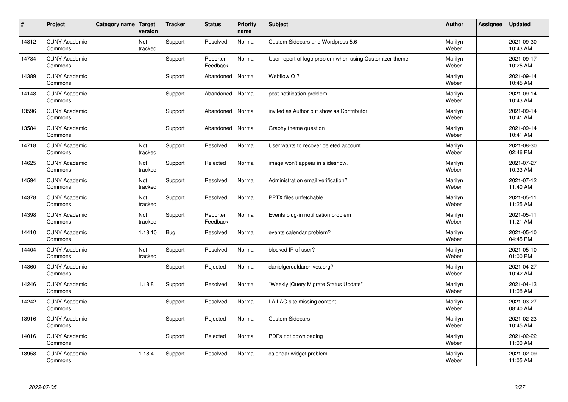| $\vert$ # | Project                         | Category name   Target | version        | <b>Tracker</b> | <b>Status</b>        | <b>Priority</b><br>name | <b>Subject</b>                                          | <b>Author</b>    | <b>Assignee</b> | <b>Updated</b>         |
|-----------|---------------------------------|------------------------|----------------|----------------|----------------------|-------------------------|---------------------------------------------------------|------------------|-----------------|------------------------|
| 14812     | <b>CUNY Academic</b><br>Commons |                        | Not<br>tracked | Support        | Resolved             | Normal                  | Custom Sidebars and Wordpress 5.6                       | Marilyn<br>Weber |                 | 2021-09-30<br>10:43 AM |
| 14784     | <b>CUNY Academic</b><br>Commons |                        |                | Support        | Reporter<br>Feedback | Normal                  | User report of logo problem when using Customizer theme | Marilyn<br>Weber |                 | 2021-09-17<br>10:25 AM |
| 14389     | <b>CUNY Academic</b><br>Commons |                        |                | Support        | Abandoned            | Normal                  | WebflowIO?                                              | Marilyn<br>Weber |                 | 2021-09-14<br>10:45 AM |
| 14148     | <b>CUNY Academic</b><br>Commons |                        |                | Support        | Abandoned            | Normal                  | post notification problem                               | Marilyn<br>Weber |                 | 2021-09-14<br>10:43 AM |
| 13596     | <b>CUNY Academic</b><br>Commons |                        |                | Support        | Abandoned            | Normal                  | invited as Author but show as Contributor               | Marilyn<br>Weber |                 | 2021-09-14<br>10:41 AM |
| 13584     | <b>CUNY Academic</b><br>Commons |                        |                | Support        | Abandoned            | Normal                  | Graphy theme question                                   | Marilyn<br>Weber |                 | 2021-09-14<br>10:41 AM |
| 14718     | <b>CUNY Academic</b><br>Commons |                        | Not<br>tracked | Support        | Resolved             | Normal                  | User wants to recover deleted account                   | Marilyn<br>Weber |                 | 2021-08-30<br>02:46 PM |
| 14625     | <b>CUNY Academic</b><br>Commons |                        | Not<br>tracked | Support        | Rejected             | Normal                  | image won't appear in slideshow.                        | Marilyn<br>Weber |                 | 2021-07-27<br>10:33 AM |
| 14594     | <b>CUNY Academic</b><br>Commons |                        | Not<br>tracked | Support        | Resolved             | Normal                  | Administration email verification?                      | Marilyn<br>Weber |                 | 2021-07-12<br>11:40 AM |
| 14378     | <b>CUNY Academic</b><br>Commons |                        | Not<br>tracked | Support        | Resolved             | Normal                  | PPTX files unfetchable                                  | Marilyn<br>Weber |                 | 2021-05-11<br>11:25 AM |
| 14398     | <b>CUNY Academic</b><br>Commons |                        | Not<br>tracked | Support        | Reporter<br>Feedback | Normal                  | Events plug-in notification problem                     | Marilyn<br>Weber |                 | 2021-05-11<br>11:21 AM |
| 14410     | <b>CUNY Academic</b><br>Commons |                        | 1.18.10        | Bug            | Resolved             | Normal                  | events calendar problem?                                | Marilyn<br>Weber |                 | 2021-05-10<br>04:45 PM |
| 14404     | <b>CUNY Academic</b><br>Commons |                        | Not<br>tracked | Support        | Resolved             | Normal                  | blocked IP of user?                                     | Marilyn<br>Weber |                 | 2021-05-10<br>01:00 PM |
| 14360     | <b>CUNY Academic</b><br>Commons |                        |                | Support        | Rejected             | Normal                  | danielgerouldarchives.org?                              | Marilyn<br>Weber |                 | 2021-04-27<br>10:42 AM |
| 14246     | <b>CUNY Academic</b><br>Commons |                        | 1.18.8         | Support        | Resolved             | Normal                  | 'Weekly jQuery Migrate Status Update"                   | Marilyn<br>Weber |                 | 2021-04-13<br>11:08 AM |
| 14242     | <b>CUNY Academic</b><br>Commons |                        |                | Support        | Resolved             | Normal                  | LAILAC site missing content                             | Marilyn<br>Weber |                 | 2021-03-27<br>08:40 AM |
| 13916     | <b>CUNY Academic</b><br>Commons |                        |                | Support        | Rejected             | Normal                  | <b>Custom Sidebars</b>                                  | Marilyn<br>Weber |                 | 2021-02-23<br>10:45 AM |
| 14016     | <b>CUNY Academic</b><br>Commons |                        |                | Support        | Rejected             | Normal                  | PDFs not downloading                                    | Marilyn<br>Weber |                 | 2021-02-22<br>11:00 AM |
| 13958     | <b>CUNY Academic</b><br>Commons |                        | 1.18.4         | Support        | Resolved             | Normal                  | calendar widget problem                                 | Marilyn<br>Weber |                 | 2021-02-09<br>11:05 AM |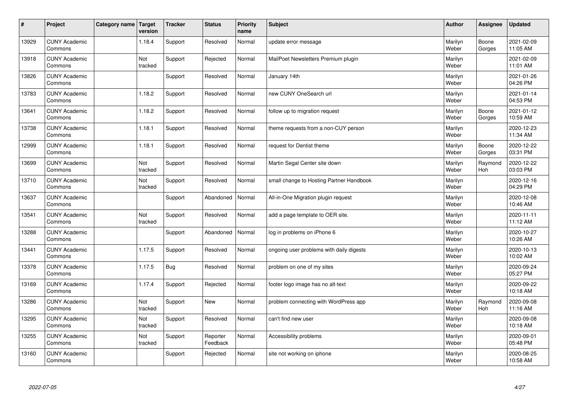| $\vert$ # | Project                         | Category name   Target | version        | <b>Tracker</b> | <b>Status</b>        | <b>Priority</b><br>name | <b>Subject</b>                           | <b>Author</b>    | <b>Assignee</b>       | <b>Updated</b>         |
|-----------|---------------------------------|------------------------|----------------|----------------|----------------------|-------------------------|------------------------------------------|------------------|-----------------------|------------------------|
| 13929     | <b>CUNY Academic</b><br>Commons |                        | 1.18.4         | Support        | Resolved             | Normal                  | update error message                     | Marilyn<br>Weber | Boone<br>Gorges       | 2021-02-09<br>11:05 AM |
| 13918     | <b>CUNY Academic</b><br>Commons |                        | Not<br>tracked | Support        | Rejected             | Normal                  | MailPoet Newsletters Premium plugin      | Marilyn<br>Weber |                       | 2021-02-09<br>11:01 AM |
| 13826     | <b>CUNY Academic</b><br>Commons |                        |                | Support        | Resolved             | Normal                  | January 14th                             | Marilyn<br>Weber |                       | 2021-01-26<br>04:26 PM |
| 13783     | <b>CUNY Academic</b><br>Commons |                        | 1.18.2         | Support        | Resolved             | Normal                  | new CUNY OneSearch url                   | Marilyn<br>Weber |                       | 2021-01-14<br>04:53 PM |
| 13641     | <b>CUNY Academic</b><br>Commons |                        | 1.18.2         | Support        | Resolved             | Normal                  | follow up to migration request           | Marilyn<br>Weber | Boone<br>Gorges       | 2021-01-12<br>10:59 AM |
| 13738     | <b>CUNY Academic</b><br>Commons |                        | 1.18.1         | Support        | Resolved             | Normal                  | theme requests from a non-CUY person     | Marilyn<br>Weber |                       | 2020-12-23<br>11:34 AM |
| 12999     | <b>CUNY Academic</b><br>Commons |                        | 1.18.1         | Support        | Resolved             | Normal                  | request for Dentist theme                | Marilyn<br>Weber | Boone<br>Gorges       | 2020-12-22<br>03:31 PM |
| 13699     | <b>CUNY Academic</b><br>Commons |                        | Not<br>tracked | Support        | Resolved             | Normal                  | Martin Segal Center site down            | Marilyn<br>Weber | Raymond<br>Hoh        | 2020-12-22<br>03:03 PM |
| 13710     | <b>CUNY Academic</b><br>Commons |                        | Not<br>tracked | Support        | Resolved             | Normal                  | small change to Hosting Partner Handbook | Marilyn<br>Weber |                       | 2020-12-16<br>04:29 PM |
| 13637     | <b>CUNY Academic</b><br>Commons |                        |                | Support        | Abandoned            | Normal                  | All-in-One Migration plugin request      | Marilyn<br>Weber |                       | 2020-12-08<br>10:46 AM |
| 13541     | <b>CUNY Academic</b><br>Commons |                        | Not<br>tracked | Support        | Resolved             | Normal                  | add a page template to OER site.         | Marilyn<br>Weber |                       | 2020-11-11<br>11:12 AM |
| 13288     | <b>CUNY Academic</b><br>Commons |                        |                | Support        | Abandoned            | Normal                  | log in problems on iPhone 6              | Marilyn<br>Weber |                       | 2020-10-27<br>10:26 AM |
| 13441     | <b>CUNY Academic</b><br>Commons |                        | 1.17.5         | Support        | Resolved             | Normal                  | ongoing user problems with daily digests | Marilyn<br>Weber |                       | 2020-10-13<br>10:02 AM |
| 13378     | <b>CUNY Academic</b><br>Commons |                        | 1.17.5         | <b>Bug</b>     | Resolved             | Normal                  | problem on one of my sites               | Marilyn<br>Weber |                       | 2020-09-24<br>05:27 PM |
| 13169     | <b>CUNY Academic</b><br>Commons |                        | 1.17.4         | Support        | Rejected             | Normal                  | footer logo image has no alt-text        | Marilyn<br>Weber |                       | 2020-09-22<br>10:18 AM |
| 13286     | <b>CUNY Academic</b><br>Commons |                        | Not<br>tracked | Support        | <b>New</b>           | Normal                  | problem connecting with WordPress app    | Marilyn<br>Weber | Raymond<br><b>Hoh</b> | 2020-09-08<br>11:16 AM |
| 13295     | <b>CUNY Academic</b><br>Commons |                        | Not<br>tracked | Support        | Resolved             | Normal                  | can't find new user                      | Marilyn<br>Weber |                       | 2020-09-08<br>10:18 AM |
| 13255     | <b>CUNY Academic</b><br>Commons |                        | Not<br>tracked | Support        | Reporter<br>Feedback | Normal                  | Accessibility problems                   | Marilyn<br>Weber |                       | 2020-09-01<br>05:48 PM |
| 13160     | <b>CUNY Academic</b><br>Commons |                        |                | Support        | Rejected             | Normal                  | site not working on iphone               | Marilyn<br>Weber |                       | 2020-08-25<br>10:58 AM |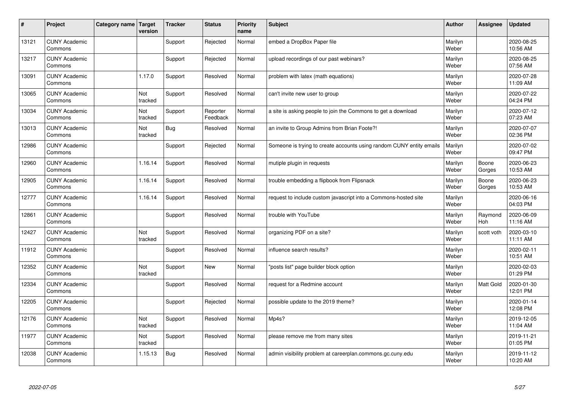| $\sharp$ | Project                         | Category name | Target<br>version | <b>Tracker</b> | <b>Status</b>        | <b>Priority</b><br>name | <b>Subject</b>                                                       | <b>Author</b>    | Assignee        | <b>Updated</b>         |
|----------|---------------------------------|---------------|-------------------|----------------|----------------------|-------------------------|----------------------------------------------------------------------|------------------|-----------------|------------------------|
| 13121    | <b>CUNY Academic</b><br>Commons |               |                   | Support        | Rejected             | Normal                  | embed a DropBox Paper file                                           | Marilyn<br>Weber |                 | 2020-08-25<br>10:56 AM |
| 13217    | <b>CUNY Academic</b><br>Commons |               |                   | Support        | Rejected             | Normal                  | upload recordings of our past webinars?                              | Marilyn<br>Weber |                 | 2020-08-25<br>07:56 AM |
| 13091    | <b>CUNY Academic</b><br>Commons |               | 1.17.0            | Support        | Resolved             | Normal                  | problem with latex (math equations)                                  | Marilyn<br>Weber |                 | 2020-07-28<br>11:09 AM |
| 13065    | <b>CUNY Academic</b><br>Commons |               | Not<br>tracked    | Support        | Resolved             | Normal                  | can't invite new user to group                                       | Marilyn<br>Weber |                 | 2020-07-22<br>04:24 PM |
| 13034    | <b>CUNY Academic</b><br>Commons |               | Not<br>tracked    | Support        | Reporter<br>Feedback | Normal                  | a site is asking people to join the Commons to get a download        | Marilyn<br>Weber |                 | 2020-07-12<br>07:23 AM |
| 13013    | <b>CUNY Academic</b><br>Commons |               | Not<br>tracked    | Bug            | Resolved             | Normal                  | an invite to Group Admins from Brian Foote?!                         | Marilyn<br>Weber |                 | 2020-07-07<br>02:36 PM |
| 12986    | <b>CUNY Academic</b><br>Commons |               |                   | Support        | Rejected             | Normal                  | Someone is trying to create accounts using random CUNY entity emails | Marilyn<br>Weber |                 | 2020-07-02<br>09:47 PM |
| 12960    | <b>CUNY Academic</b><br>Commons |               | 1.16.14           | Support        | Resolved             | Normal                  | mutiple plugin in requests                                           | Marilyn<br>Weber | Boone<br>Gorges | 2020-06-23<br>10:53 AM |
| 12905    | <b>CUNY Academic</b><br>Commons |               | 1.16.14           | Support        | Resolved             | Normal                  | trouble embedding a flipbook from Flipsnack                          | Marilyn<br>Weber | Boone<br>Gorges | 2020-06-23<br>10:53 AM |
| 12777    | <b>CUNY Academic</b><br>Commons |               | 1.16.14           | Support        | Resolved             | Normal                  | request to include custom javascript into a Commons-hosted site      | Marilyn<br>Weber |                 | 2020-06-16<br>04:03 PM |
| 12861    | <b>CUNY Academic</b><br>Commons |               |                   | Support        | Resolved             | Normal                  | trouble with YouTube                                                 | Marilyn<br>Weber | Raymond<br>Hoh  | 2020-06-09<br>11:16 AM |
| 12427    | <b>CUNY Academic</b><br>Commons |               | Not<br>tracked    | Support        | Resolved             | Normal                  | organizing PDF on a site?                                            | Marilyn<br>Weber | scott voth      | 2020-03-10<br>11:11 AM |
| 11912    | <b>CUNY Academic</b><br>Commons |               |                   | Support        | Resolved             | Normal                  | influence search results?                                            | Marilyn<br>Weber |                 | 2020-02-11<br>10:51 AM |
| 12352    | <b>CUNY Academic</b><br>Commons |               | Not<br>tracked    | Support        | New                  | Normal                  | "posts list" page builder block option                               | Marilyn<br>Weber |                 | 2020-02-03<br>01:29 PM |
| 12334    | <b>CUNY Academic</b><br>Commons |               |                   | Support        | Resolved             | Normal                  | request for a Redmine account                                        | Marilyn<br>Weber | Matt Gold       | 2020-01-30<br>12:01 PM |
| 12205    | <b>CUNY Academic</b><br>Commons |               |                   | Support        | Rejected             | Normal                  | possible update to the 2019 theme?                                   | Marilyn<br>Weber |                 | 2020-01-14<br>12:08 PM |
| 12176    | <b>CUNY Academic</b><br>Commons |               | Not<br>tracked    | Support        | Resolved             | Normal                  | Mp4s?                                                                | Marilyn<br>Weber |                 | 2019-12-05<br>11:04 AM |
| 11977    | <b>CUNY Academic</b><br>Commons |               | Not<br>tracked    | Support        | Resolved             | Normal                  | please remove me from many sites                                     | Marilyn<br>Weber |                 | 2019-11-21<br>01:05 PM |
| 12038    | <b>CUNY Academic</b><br>Commons |               | 1.15.13           | Bug            | Resolved             | Normal                  | admin visibility problem at careerplan.commons.gc.cuny.edu           | Marilyn<br>Weber |                 | 2019-11-12<br>10:20 AM |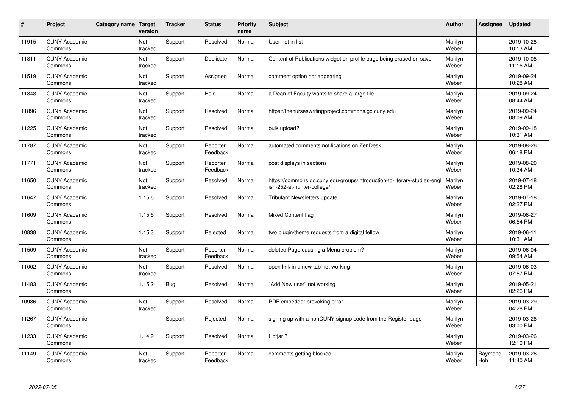| $\sharp$ | Project                         | Category name | Target<br>version | <b>Tracker</b> | <b>Status</b>        | <b>Priority</b><br>name | <b>Subject</b>                                                                                         | <b>Author</b>    | Assignee       | <b>Updated</b>         |
|----------|---------------------------------|---------------|-------------------|----------------|----------------------|-------------------------|--------------------------------------------------------------------------------------------------------|------------------|----------------|------------------------|
| 11915    | <b>CUNY Academic</b><br>Commons |               | Not<br>tracked    | Support        | Resolved             | Normal                  | User not in list                                                                                       | Marilyn<br>Weber |                | 2019-10-28<br>10:13 AM |
| 11811    | <b>CUNY Academic</b><br>Commons |               | Not<br>tracked    | Support        | Duplicate            | Normal                  | Content of Publications widget on profile page being erased on save                                    | Marilyn<br>Weber |                | 2019-10-08<br>11:16 AM |
| 11519    | <b>CUNY Academic</b><br>Commons |               | Not<br>tracked    | Support        | Assigned             | Normal                  | comment option not appearing                                                                           | Marilyn<br>Weber |                | 2019-09-24<br>10:28 AM |
| 11848    | <b>CUNY Academic</b><br>Commons |               | Not<br>tracked    | Support        | Hold                 | Normal                  | a Dean of Faculty wants to share a large file                                                          | Marilyn<br>Weber |                | 2019-09-24<br>08:44 AM |
| 11896    | <b>CUNY Academic</b><br>Commons |               | Not<br>tracked    | Support        | Resolved             | Normal                  | https://thenurseswritingproject.commons.gc.cuny.edu                                                    | Marilyn<br>Weber |                | 2019-09-24<br>08:09 AM |
| 11225    | <b>CUNY Academic</b><br>Commons |               | Not<br>tracked    | Support        | Resolved             | Normal                  | bulk upload?                                                                                           | Marilyn<br>Weber |                | 2019-09-18<br>10:31 AM |
| 11787    | <b>CUNY Academic</b><br>Commons |               | Not<br>tracked    | Support        | Reporter<br>Feedback | Normal                  | automated comments notifications on ZenDesk                                                            | Marilyn<br>Weber |                | 2019-08-26<br>06:18 PM |
| 11771    | <b>CUNY Academic</b><br>Commons |               | Not<br>tracked    | Support        | Reporter<br>Feedback | Normal                  | post displays in sections                                                                              | Marilyn<br>Weber |                | 2019-08-20<br>10:34 AM |
| 11650    | <b>CUNY Academic</b><br>Commons |               | Not<br>tracked    | Support        | Resolved             | Normal                  | https://commons.gc.cuny.edu/groups/introduction-to-literary-studies-engl<br>ish-252-at-hunter-college/ | Marilyn<br>Weber |                | 2019-07-18<br>02:28 PM |
| 11647    | <b>CUNY Academic</b><br>Commons |               | 1.15.6            | Support        | Resolved             | Normal                  | Tribulant Newsletters update                                                                           | Marilyn<br>Weber |                | 2019-07-18<br>02:27 PM |
| 11609    | <b>CUNY Academic</b><br>Commons |               | 1.15.5            | Support        | Resolved             | Normal                  | <b>Mixed Content flag</b>                                                                              | Marilyn<br>Weber |                | 2019-06-27<br>06:54 PM |
| 10838    | <b>CUNY Academic</b><br>Commons |               | 1.15.3            | Support        | Rejected             | Normal                  | two plugin/theme requests from a digital fellow                                                        | Marilyn<br>Weber |                | 2019-06-11<br>10:31 AM |
| 11509    | <b>CUNY Academic</b><br>Commons |               | Not<br>tracked    | Support        | Reporter<br>Feedback | Normal                  | deleted Page causing a Menu problem?                                                                   | Marilyn<br>Weber |                | 2019-06-04<br>09:54 AM |
| 11002    | <b>CUNY Academic</b><br>Commons |               | Not<br>tracked    | Support        | Resolved             | Normal                  | open link in a new tab not working                                                                     | Marilyn<br>Weber |                | 2019-06-03<br>07:57 PM |
| 11483    | <b>CUNY Academic</b><br>Commons |               | 1.15.2            | <b>Bug</b>     | Resolved             | Normal                  | "Add New user" not working                                                                             | Marilyn<br>Weber |                | 2019-05-21<br>02:26 PM |
| 10986    | <b>CUNY Academic</b><br>Commons |               | Not<br>tracked    | Support        | Resolved             | Normal                  | PDF embedder provoking error                                                                           | Marilyn<br>Weber |                | 2019-03-29<br>04:28 PM |
| 11267    | <b>CUNY Academic</b><br>Commons |               |                   | Support        | Rejected             | Normal                  | signing up with a nonCUNY signup code from the Register page                                           | Marilyn<br>Weber |                | 2019-03-26<br>03:00 PM |
| 11233    | <b>CUNY Academic</b><br>Commons |               | 1.14.9            | Support        | Resolved             | Normal                  | Hotjar ?                                                                                               | Marilyn<br>Weber |                | 2019-03-26<br>12:10 PM |
| 11149    | <b>CUNY Academic</b><br>Commons |               | Not<br>tracked    | Support        | Reporter<br>Feedback | Normal                  | comments getting blocked                                                                               | Marilyn<br>Weber | Raymond<br>Hoh | 2019-03-26<br>11:40 AM |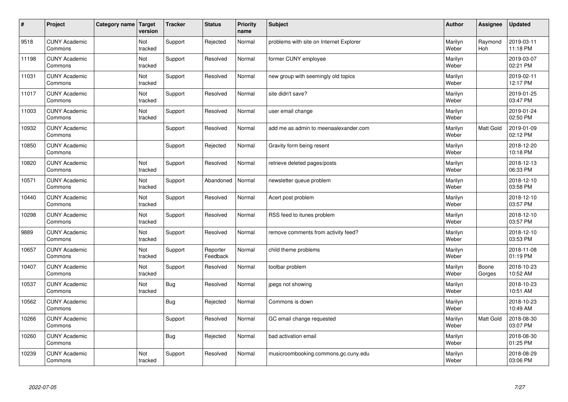| $\sharp$ | Project                         | Category name   Target | version        | <b>Tracker</b> | <b>Status</b>        | <b>Priority</b><br>name | <b>Subject</b>                          | <b>Author</b>    | Assignee              | Updated                |
|----------|---------------------------------|------------------------|----------------|----------------|----------------------|-------------------------|-----------------------------------------|------------------|-----------------------|------------------------|
| 9518     | <b>CUNY Academic</b><br>Commons |                        | Not<br>tracked | Support        | Rejected             | Normal                  | problems with site on Internet Explorer | Marilyn<br>Weber | Raymond<br><b>Hoh</b> | 2019-03-11<br>11:18 PM |
| 11198    | <b>CUNY Academic</b><br>Commons |                        | Not<br>tracked | Support        | Resolved             | Normal                  | former CUNY employee                    | Marilyn<br>Weber |                       | 2019-03-07<br>02:21 PM |
| 11031    | <b>CUNY Academic</b><br>Commons |                        | Not<br>tracked | Support        | Resolved             | Normal                  | new group with seemingly old topics     | Marilyn<br>Weber |                       | 2019-02-11<br>12:17 PM |
| 11017    | <b>CUNY Academic</b><br>Commons |                        | Not<br>tracked | Support        | Resolved             | Normal                  | site didn't save?                       | Marilyn<br>Weber |                       | 2019-01-25<br>03:47 PM |
| 11003    | <b>CUNY Academic</b><br>Commons |                        | Not<br>tracked | Support        | Resolved             | Normal                  | user email change                       | Marilyn<br>Weber |                       | 2019-01-24<br>02:50 PM |
| 10932    | <b>CUNY Academic</b><br>Commons |                        |                | Support        | Resolved             | Normal                  | add me as admin to meenaalexander.com   | Marilyn<br>Weber | <b>Matt Gold</b>      | 2019-01-09<br>02:12 PM |
| 10850    | <b>CUNY Academic</b><br>Commons |                        |                | Support        | Rejected             | Normal                  | Gravity form being resent               | Marilyn<br>Weber |                       | 2018-12-20<br>10:18 PM |
| 10820    | <b>CUNY Academic</b><br>Commons |                        | Not<br>tracked | Support        | Resolved             | Normal                  | retrieve deleted pages/posts            | Marilyn<br>Weber |                       | 2018-12-13<br>06:33 PM |
| 10571    | <b>CUNY Academic</b><br>Commons |                        | Not<br>tracked | Support        | Abandoned            | Normal                  | newsletter queue problem                | Marilyn<br>Weber |                       | 2018-12-10<br>03:58 PM |
| 10440    | <b>CUNY Academic</b><br>Commons |                        | Not<br>tracked | Support        | Resolved             | Normal                  | Acert post problem                      | Marilyn<br>Weber |                       | 2018-12-10<br>03:57 PM |
| 10298    | <b>CUNY Academic</b><br>Commons |                        | Not<br>tracked | Support        | Resolved             | Normal                  | RSS feed to itunes problem              | Marilyn<br>Weber |                       | 2018-12-10<br>03:57 PM |
| 9889     | <b>CUNY Academic</b><br>Commons |                        | Not<br>tracked | Support        | Resolved             | Normal                  | remove comments from activity feed?     | Marilyn<br>Weber |                       | 2018-12-10<br>03:53 PM |
| 10657    | <b>CUNY Academic</b><br>Commons |                        | Not<br>tracked | Support        | Reporter<br>Feedback | Normal                  | child theme problems                    | Marilyn<br>Weber |                       | 2018-11-08<br>01:19 PM |
| 10407    | <b>CUNY Academic</b><br>Commons |                        | Not<br>tracked | Support        | Resolved             | Normal                  | toolbar problem                         | Marilyn<br>Weber | Boone<br>Gorges       | 2018-10-23<br>10:52 AM |
| 10537    | <b>CUNY Academic</b><br>Commons |                        | Not<br>tracked | <b>Bug</b>     | Resolved             | Normal                  | jpegs not showing                       | Marilyn<br>Weber |                       | 2018-10-23<br>10:51 AM |
| 10562    | <b>CUNY Academic</b><br>Commons |                        |                | Bug            | Rejected             | Normal                  | Commons is down                         | Marilyn<br>Weber |                       | 2018-10-23<br>10:49 AM |
| 10266    | <b>CUNY Academic</b><br>Commons |                        |                | Support        | Resolved             | Normal                  | GC email change requested               | Marilyn<br>Weber | Matt Gold             | 2018-08-30<br>03:07 PM |
| 10260    | <b>CUNY Academic</b><br>Commons |                        |                | Bug            | Rejected             | Normal                  | bad activation email                    | Marilyn<br>Weber |                       | 2018-08-30<br>01:25 PM |
| 10239    | <b>CUNY Academic</b><br>Commons |                        | Not<br>tracked | Support        | Resolved             | Normal                  | musicroombooking.commons.gc.cuny.edu    | Marilyn<br>Weber |                       | 2018-08-29<br>03:06 PM |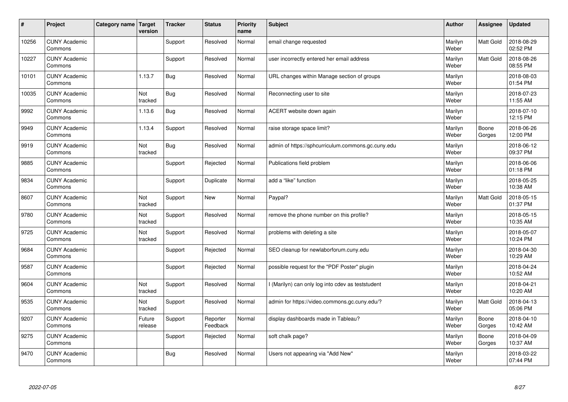| $\sharp$ | Project                         | Category name   Target | version           | <b>Tracker</b> | <b>Status</b>        | <b>Priority</b><br>name | <b>Subject</b>                                     | <b>Author</b>    | <b>Assignee</b>  | <b>Updated</b>         |
|----------|---------------------------------|------------------------|-------------------|----------------|----------------------|-------------------------|----------------------------------------------------|------------------|------------------|------------------------|
| 10256    | <b>CUNY Academic</b><br>Commons |                        |                   | Support        | Resolved             | Normal                  | email change requested                             | Marilyn<br>Weber | Matt Gold        | 2018-08-29<br>02:52 PM |
| 10227    | <b>CUNY Academic</b><br>Commons |                        |                   | Support        | Resolved             | Normal                  | user incorrectly entered her email address         | Marilyn<br>Weber | Matt Gold        | 2018-08-26<br>08:55 PM |
| 10101    | <b>CUNY Academic</b><br>Commons |                        | 1.13.7            | Bug            | Resolved             | Normal                  | URL changes within Manage section of groups        | Marilyn<br>Weber |                  | 2018-08-03<br>01:54 PM |
| 10035    | <b>CUNY Academic</b><br>Commons |                        | Not<br>tracked    | <b>Bug</b>     | Resolved             | Normal                  | Reconnecting user to site                          | Marilyn<br>Weber |                  | 2018-07-23<br>11:55 AM |
| 9992     | <b>CUNY Academic</b><br>Commons |                        | 1.13.6            | Bug            | Resolved             | Normal                  | ACERT website down again                           | Marilyn<br>Weber |                  | 2018-07-10<br>12:15 PM |
| 9949     | <b>CUNY Academic</b><br>Commons |                        | 1.13.4            | Support        | Resolved             | Normal                  | raise storage space limit?                         | Marilyn<br>Weber | Boone<br>Gorges  | 2018-06-26<br>12:00 PM |
| 9919     | <b>CUNY Academic</b><br>Commons |                        | Not<br>tracked    | Bug            | Resolved             | Normal                  | admin of https://sphcurriculum.commons.gc.cuny.edu | Marilyn<br>Weber |                  | 2018-06-12<br>09:37 PM |
| 9885     | <b>CUNY Academic</b><br>Commons |                        |                   | Support        | Rejected             | Normal                  | Publications field problem                         | Marilyn<br>Weber |                  | 2018-06-06<br>01:18 PM |
| 9834     | <b>CUNY Academic</b><br>Commons |                        |                   | Support        | Duplicate            | Normal                  | add a "like" function                              | Marilyn<br>Weber |                  | 2018-05-25<br>10:38 AM |
| 8607     | <b>CUNY Academic</b><br>Commons |                        | Not<br>tracked    | Support        | New                  | Normal                  | Paypal?                                            | Marilyn<br>Weber | <b>Matt Gold</b> | 2018-05-15<br>01:37 PM |
| 9780     | <b>CUNY Academic</b><br>Commons |                        | Not<br>tracked    | Support        | Resolved             | Normal                  | remove the phone number on this profile?           | Marilyn<br>Weber |                  | 2018-05-15<br>10:35 AM |
| 9725     | <b>CUNY Academic</b><br>Commons |                        | Not<br>tracked    | Support        | Resolved             | Normal                  | problems with deleting a site                      | Marilyn<br>Weber |                  | 2018-05-07<br>10:24 PM |
| 9684     | <b>CUNY Academic</b><br>Commons |                        |                   | Support        | Rejected             | Normal                  | SEO cleanup for newlaborforum.cuny.edu             | Marilyn<br>Weber |                  | 2018-04-30<br>10:29 AM |
| 9587     | <b>CUNY Academic</b><br>Commons |                        |                   | Support        | Rejected             | Normal                  | possible request for the "PDF Poster" plugin       | Marilyn<br>Weber |                  | 2018-04-24<br>10:52 AM |
| 9604     | <b>CUNY Academic</b><br>Commons |                        | Not<br>tracked    | Support        | Resolved             | Normal                  | I (Marilyn) can only log into cdev as teststudent  | Marilyn<br>Weber |                  | 2018-04-21<br>10:20 AM |
| 9535     | <b>CUNY Academic</b><br>Commons |                        | Not<br>tracked    | Support        | Resolved             | Normal                  | admin for https://video.commons.gc.cuny.edu/?      | Marilyn<br>Weber | <b>Matt Gold</b> | 2018-04-13<br>05:06 PM |
| 9207     | <b>CUNY Academic</b><br>Commons |                        | Future<br>release | Support        | Reporter<br>Feedback | Normal                  | display dashboards made in Tableau?                | Marilyn<br>Weber | Boone<br>Gorges  | 2018-04-10<br>10:42 AM |
| 9275     | <b>CUNY Academic</b><br>Commons |                        |                   | Support        | Rejected             | Normal                  | soft chalk page?                                   | Marilyn<br>Weber | Boone<br>Gorges  | 2018-04-09<br>10:37 AM |
| 9470     | <b>CUNY Academic</b><br>Commons |                        |                   | Bug            | Resolved             | Normal                  | Users not appearing via "Add New"                  | Marilyn<br>Weber |                  | 2018-03-22<br>07:44 PM |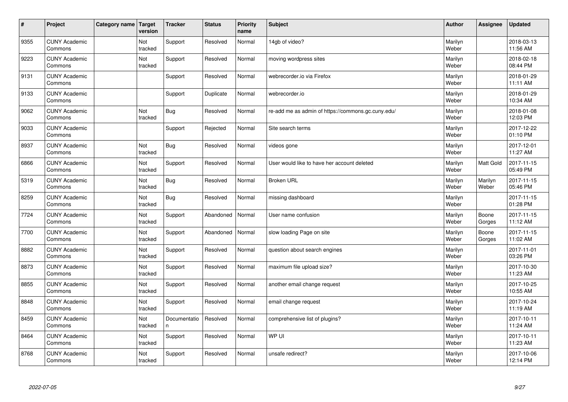| $\vert$ # | Project                         | Category name   Target | version        | <b>Tracker</b>    | <b>Status</b> | <b>Priority</b><br>name | <b>Subject</b>                                     | <b>Author</b>    | <b>Assignee</b>  | <b>Updated</b>         |
|-----------|---------------------------------|------------------------|----------------|-------------------|---------------|-------------------------|----------------------------------------------------|------------------|------------------|------------------------|
| 9355      | <b>CUNY Academic</b><br>Commons |                        | Not<br>tracked | Support           | Resolved      | Normal                  | 14gb of video?                                     | Marilyn<br>Weber |                  | 2018-03-13<br>11:56 AM |
| 9223      | <b>CUNY Academic</b><br>Commons |                        | Not<br>tracked | Support           | Resolved      | Normal                  | moving wordpress sites                             | Marilyn<br>Weber |                  | 2018-02-18<br>08:44 PM |
| 9131      | <b>CUNY Academic</b><br>Commons |                        |                | Support           | Resolved      | Normal                  | webrecorder.io via Firefox                         | Marilyn<br>Weber |                  | 2018-01-29<br>11:11 AM |
| 9133      | <b>CUNY Academic</b><br>Commons |                        |                | Support           | Duplicate     | Normal                  | webrecorder.jo                                     | Marilyn<br>Weber |                  | 2018-01-29<br>10:34 AM |
| 9062      | <b>CUNY Academic</b><br>Commons |                        | Not<br>tracked | <b>Bug</b>        | Resolved      | Normal                  | re-add me as admin of https://commons.gc.cuny.edu/ | Marilyn<br>Weber |                  | 2018-01-08<br>12:03 PM |
| 9033      | <b>CUNY Academic</b><br>Commons |                        |                | Support           | Rejected      | Normal                  | Site search terms                                  | Marilyn<br>Weber |                  | 2017-12-22<br>01:10 PM |
| 8937      | <b>CUNY Academic</b><br>Commons |                        | Not<br>tracked | <b>Bug</b>        | Resolved      | Normal                  | videos gone                                        | Marilyn<br>Weber |                  | 2017-12-01<br>11:27 AM |
| 6866      | <b>CUNY Academic</b><br>Commons |                        | Not<br>tracked | Support           | Resolved      | Normal                  | User would like to have her account deleted        | Marilyn<br>Weber | Matt Gold        | 2017-11-15<br>05:49 PM |
| 5319      | <b>CUNY Academic</b><br>Commons |                        | Not<br>tracked | <b>Bug</b>        | Resolved      | Normal                  | <b>Broken URL</b>                                  | Marilyn<br>Weber | Marilyn<br>Weber | 2017-11-15<br>05:46 PM |
| 8259      | <b>CUNY Academic</b><br>Commons |                        | Not<br>tracked | <b>Bug</b>        | Resolved      | Normal                  | missing dashboard                                  | Marilyn<br>Weber |                  | 2017-11-15<br>01:28 PM |
| 7724      | <b>CUNY Academic</b><br>Commons |                        | Not<br>tracked | Support           | Abandoned     | Normal                  | User name confusion                                | Marilyn<br>Weber | Boone<br>Gorges  | 2017-11-15<br>11:12 AM |
| 7700      | <b>CUNY Academic</b><br>Commons |                        | Not<br>tracked | Support           | Abandoned     | Normal                  | slow loading Page on site                          | Marilyn<br>Weber | Boone<br>Gorges  | 2017-11-15<br>11:02 AM |
| 8882      | <b>CUNY Academic</b><br>Commons |                        | Not<br>tracked | Support           | Resolved      | Normal                  | question about search engines                      | Marilyn<br>Weber |                  | 2017-11-01<br>03:26 PM |
| 8873      | <b>CUNY Academic</b><br>Commons |                        | Not<br>tracked | Support           | Resolved      | Normal                  | maximum file upload size?                          | Marilyn<br>Weber |                  | 2017-10-30<br>11:23 AM |
| 8855      | <b>CUNY Academic</b><br>Commons |                        | Not<br>tracked | Support           | Resolved      | Normal                  | another email change request                       | Marilyn<br>Weber |                  | 2017-10-25<br>10:55 AM |
| 8848      | <b>CUNY Academic</b><br>Commons |                        | Not<br>tracked | Support           | Resolved      | Normal                  | email change request                               | Marilyn<br>Weber |                  | 2017-10-24<br>11:19 AM |
| 8459      | <b>CUNY Academic</b><br>Commons |                        | Not<br>tracked | Documentatio<br>n | Resolved      | Normal                  | comprehensive list of plugins?                     | Marilyn<br>Weber |                  | 2017-10-11<br>11:24 AM |
| 8464      | <b>CUNY Academic</b><br>Commons |                        | Not<br>tracked | Support           | Resolved      | Normal                  | WP UI                                              | Marilyn<br>Weber |                  | 2017-10-11<br>11:23 AM |
| 8768      | <b>CUNY Academic</b><br>Commons |                        | Not<br>tracked | Support           | Resolved      | Normal                  | unsafe redirect?                                   | Marilyn<br>Weber |                  | 2017-10-06<br>12:14 PM |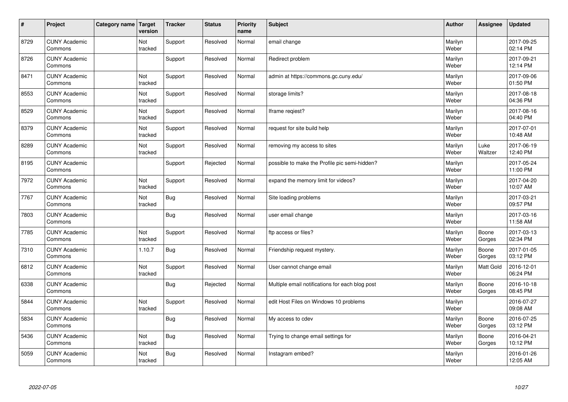| $\vert$ # | Project                         | Category name Target | version        | <b>Tracker</b> | <b>Status</b> | <b>Priority</b><br>name | <b>Subject</b>                                  | <b>Author</b>    | Assignee        | <b>Updated</b>         |
|-----------|---------------------------------|----------------------|----------------|----------------|---------------|-------------------------|-------------------------------------------------|------------------|-----------------|------------------------|
| 8729      | <b>CUNY Academic</b><br>Commons |                      | Not<br>tracked | Support        | Resolved      | Normal                  | email change                                    | Marilyn<br>Weber |                 | 2017-09-25<br>02:14 PM |
| 8726      | <b>CUNY Academic</b><br>Commons |                      |                | Support        | Resolved      | Normal                  | Redirect problem                                | Marilyn<br>Weber |                 | 2017-09-21<br>12:14 PM |
| 8471      | <b>CUNY Academic</b><br>Commons |                      | Not<br>tracked | Support        | Resolved      | Normal                  | admin at https://commons.gc.cuny.edu/           | Marilyn<br>Weber |                 | 2017-09-06<br>01:50 PM |
| 8553      | <b>CUNY Academic</b><br>Commons |                      | Not<br>tracked | Support        | Resolved      | Normal                  | storage limits?                                 | Marilyn<br>Weber |                 | 2017-08-18<br>04:36 PM |
| 8529      | <b>CUNY Academic</b><br>Commons |                      | Not<br>tracked | Support        | Resolved      | Normal                  | Iframe regiest?                                 | Marilyn<br>Weber |                 | 2017-08-16<br>04:40 PM |
| 8379      | <b>CUNY Academic</b><br>Commons |                      | Not<br>tracked | Support        | Resolved      | Normal                  | request for site build help                     | Marilyn<br>Weber |                 | 2017-07-01<br>10:48 AM |
| 8289      | <b>CUNY Academic</b><br>Commons |                      | Not<br>tracked | Support        | Resolved      | Normal                  | removing my access to sites                     | Marilyn<br>Weber | Luke<br>Waltzer | 2017-06-19<br>12:40 PM |
| 8195      | <b>CUNY Academic</b><br>Commons |                      |                | Support        | Rejected      | Normal                  | possible to make the Profile pic semi-hidden?   | Marilyn<br>Weber |                 | 2017-05-24<br>11:00 PM |
| 7972      | <b>CUNY Academic</b><br>Commons |                      | Not<br>tracked | Support        | Resolved      | Normal                  | expand the memory limit for videos?             | Marilyn<br>Weber |                 | 2017-04-20<br>10:07 AM |
| 7767      | <b>CUNY Academic</b><br>Commons |                      | Not<br>tracked | Bug            | Resolved      | Normal                  | Site loading problems                           | Marilyn<br>Weber |                 | 2017-03-21<br>09:57 PM |
| 7803      | <b>CUNY Academic</b><br>Commons |                      |                | Bug            | Resolved      | Normal                  | user email change                               | Marilyn<br>Weber |                 | 2017-03-16<br>11:58 AM |
| 7785      | <b>CUNY Academic</b><br>Commons |                      | Not<br>tracked | Support        | Resolved      | Normal                  | ftp access or files?                            | Marilyn<br>Weber | Boone<br>Gorges | 2017-03-13<br>02:34 PM |
| 7310      | <b>CUNY Academic</b><br>Commons |                      | 1.10.7         | Bug            | Resolved      | Normal                  | Friendship request mystery.                     | Marilyn<br>Weber | Boone<br>Gorges | 2017-01-05<br>03:12 PM |
| 6812      | <b>CUNY Academic</b><br>Commons |                      | Not<br>tracked | Support        | Resolved      | Normal                  | User cannot change email                        | Marilyn<br>Weber | Matt Gold       | 2016-12-01<br>06:24 PM |
| 6338      | <b>CUNY Academic</b><br>Commons |                      |                | Bug            | Rejected      | Normal                  | Multiple email notifications for each blog post | Marilyn<br>Weber | Boone<br>Gorges | 2016-10-18<br>08:45 PM |
| 5844      | <b>CUNY Academic</b><br>Commons |                      | Not<br>tracked | Support        | Resolved      | Normal                  | edit Host Files on Windows 10 problems          | Marilyn<br>Weber |                 | 2016-07-27<br>09:08 AM |
| 5834      | <b>CUNY Academic</b><br>Commons |                      |                | Bug            | Resolved      | Normal                  | My access to cdev                               | Marilyn<br>Weber | Boone<br>Gorges | 2016-07-25<br>03:12 PM |
| 5436      | <b>CUNY Academic</b><br>Commons |                      | Not<br>tracked | Bug            | Resolved      | Normal                  | Trying to change email settings for             | Marilyn<br>Weber | Boone<br>Gorges | 2016-04-21<br>10:12 PM |
| 5059      | <b>CUNY Academic</b><br>Commons |                      | Not<br>tracked | Bug            | Resolved      | Normal                  | Instagram embed?                                | Marilyn<br>Weber |                 | 2016-01-26<br>12:05 AM |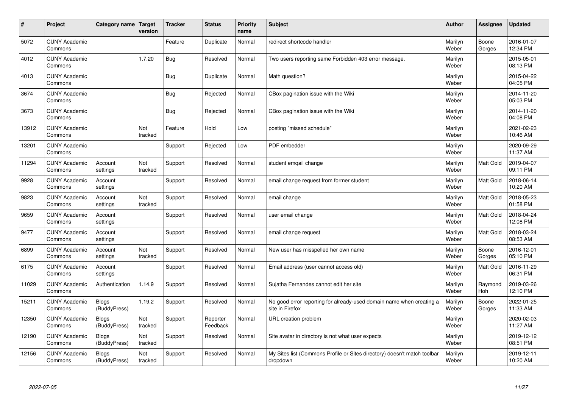| $\sharp$ | Project                         | Category name   Target       | version        | <b>Tracker</b> | <b>Status</b>        | <b>Priority</b><br>name | <b>Subject</b>                                                                          | <b>Author</b>    | Assignee         | <b>Updated</b>         |
|----------|---------------------------------|------------------------------|----------------|----------------|----------------------|-------------------------|-----------------------------------------------------------------------------------------|------------------|------------------|------------------------|
| 5072     | <b>CUNY Academic</b><br>Commons |                              |                | Feature        | Duplicate            | Normal                  | redirect shortcode handler                                                              | Marilyn<br>Weber | Boone<br>Gorges  | 2016-01-07<br>12:34 PM |
| 4012     | <b>CUNY Academic</b><br>Commons |                              | 1.7.20         | Bug            | Resolved             | Normal                  | Two users reporting same Forbidden 403 error message.                                   | Marilyn<br>Weber |                  | 2015-05-01<br>08:13 PM |
| 4013     | <b>CUNY Academic</b><br>Commons |                              |                | Bug            | Duplicate            | Normal                  | Math question?                                                                          | Marilyn<br>Weber |                  | 2015-04-22<br>04:05 PM |
| 3674     | <b>CUNY Academic</b><br>Commons |                              |                | Bug            | Rejected             | Normal                  | CBox pagination issue with the Wiki                                                     | Marilyn<br>Weber |                  | 2014-11-20<br>05:03 PM |
| 3673     | <b>CUNY Academic</b><br>Commons |                              |                | <b>Bug</b>     | Rejected             | Normal                  | CBox pagination issue with the Wiki                                                     | Marilyn<br>Weber |                  | 2014-11-20<br>04:08 PM |
| 13912    | <b>CUNY Academic</b><br>Commons |                              | Not<br>tracked | Feature        | Hold                 | Low                     | posting "missed schedule"                                                               | Marilyn<br>Weber |                  | 2021-02-23<br>10:46 AM |
| 13201    | <b>CUNY Academic</b><br>Commons |                              |                | Support        | Rejected             | Low                     | PDF embedder                                                                            | Marilyn<br>Weber |                  | 2020-09-29<br>11:37 AM |
| 11294    | <b>CUNY Academic</b><br>Commons | Account<br>settings          | Not<br>tracked | Support        | Resolved             | Normal                  | student emgail change                                                                   | Marilyn<br>Weber | Matt Gold        | 2019-04-07<br>09:11 PM |
| 9928     | <b>CUNY Academic</b><br>Commons | Account<br>settings          |                | Support        | Resolved             | Normal                  | email change request from former student                                                | Marilyn<br>Weber | <b>Matt Gold</b> | 2018-06-14<br>10:20 AM |
| 9823     | <b>CUNY Academic</b><br>Commons | Account<br>settings          | Not<br>tracked | Support        | Resolved             | Normal                  | email change                                                                            | Marilyn<br>Weber | <b>Matt Gold</b> | 2018-05-23<br>01:58 PM |
| 9659     | <b>CUNY Academic</b><br>Commons | Account<br>settings          |                | Support        | Resolved             | Normal                  | user email change                                                                       | Marilyn<br>Weber | Matt Gold        | 2018-04-24<br>12:08 PM |
| 9477     | <b>CUNY Academic</b><br>Commons | Account<br>settings          |                | Support        | Resolved             | Normal                  | email change request                                                                    | Marilyn<br>Weber | Matt Gold        | 2018-03-24<br>08:53 AM |
| 6899     | <b>CUNY Academic</b><br>Commons | Account<br>settings          | Not<br>tracked | Support        | Resolved             | Normal                  | New user has misspelled her own name                                                    | Marilyn<br>Weber | Boone<br>Gorges  | 2016-12-01<br>05:10 PM |
| 6175     | <b>CUNY Academic</b><br>Commons | Account<br>settings          |                | Support        | Resolved             | Normal                  | Email address (user cannot access old)                                                  | Marilyn<br>Weber | <b>Matt Gold</b> | 2016-11-29<br>06:31 PM |
| 11029    | <b>CUNY Academic</b><br>Commons | Authentication               | 1.14.9         | Support        | Resolved             | Normal                  | Sujatha Fernandes cannot edit her site                                                  | Marilyn<br>Weber | Raymond<br>Hoh   | 2019-03-26<br>12:10 PM |
| 15211    | <b>CUNY Academic</b><br>Commons | <b>Blogs</b><br>(BuddyPress) | 1.19.2         | Support        | Resolved             | Normal                  | No good error reporting for already-used domain name when creating a<br>site in Firefox | Marilyn<br>Weber | Boone<br>Gorges  | 2022-01-25<br>11:33 AM |
| 12350    | <b>CUNY Academic</b><br>Commons | <b>Blogs</b><br>(BuddyPress) | Not<br>tracked | Support        | Reporter<br>Feedback | Normal                  | URL creation problem                                                                    | Marilyn<br>Weber |                  | 2020-02-03<br>11:27 AM |
| 12190    | <b>CUNY Academic</b><br>Commons | <b>Blogs</b><br>(BuddyPress) | Not<br>tracked | Support        | Resolved             | Normal                  | Site avatar in directory is not what user expects                                       | Marilyn<br>Weber |                  | 2019-12-12<br>08:51 PM |
| 12156    | <b>CUNY Academic</b><br>Commons | <b>Blogs</b><br>(BuddyPress) | Not<br>tracked | Support        | Resolved             | Normal                  | My Sites list (Commons Profile or Sites directory) doesn't match toolbar<br>dropdown    | Marilyn<br>Weber |                  | 2019-12-11<br>10:20 AM |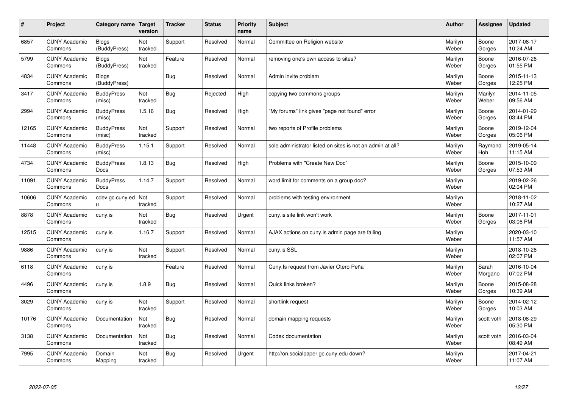| $\sharp$ | Project                         | Category name   Target           | version        | <b>Tracker</b> | <b>Status</b> | <b>Priority</b><br>name | <b>Subject</b>                                             | <b>Author</b>    | Assignee         | <b>Updated</b>         |
|----------|---------------------------------|----------------------------------|----------------|----------------|---------------|-------------------------|------------------------------------------------------------|------------------|------------------|------------------------|
| 6857     | <b>CUNY Academic</b><br>Commons | <b>Blogs</b><br>(BuddyPress)     | Not<br>tracked | Support        | Resolved      | Normal                  | Committee on Religion website                              | Marilyn<br>Weber | Boone<br>Gorges  | 2017-08-17<br>10:24 AM |
| 5799     | <b>CUNY Academic</b><br>Commons | Blogs<br>(BuddyPress)            | Not<br>tracked | Feature        | Resolved      | Normal                  | removing one's own access to sites?                        | Marilyn<br>Weber | Boone<br>Gorges  | 2016-07-26<br>01:55 PM |
| 4834     | <b>CUNY Academic</b><br>Commons | <b>Blogs</b><br>(BuddyPress)     |                | Bug            | Resolved      | Normal                  | Admin invite problem                                       | Marilyn<br>Weber | Boone<br>Gorges  | 2015-11-13<br>12:25 PM |
| 3417     | <b>CUNY Academic</b><br>Commons | <b>BuddyPress</b><br>(misc)      | Not<br>tracked | Bug            | Rejected      | High                    | copying two commons groups                                 | Marilyn<br>Weber | Marilyn<br>Weber | 2014-11-05<br>09:56 AM |
| 2994     | <b>CUNY Academic</b><br>Commons | <b>BuddyPress</b><br>(misc)      | 1.5.16         | Bug            | Resolved      | High                    | "My forums" link gives "page not found" error              | Marilyn<br>Weber | Boone<br>Gorges  | 2014-01-29<br>03:44 PM |
| 12165    | <b>CUNY Academic</b><br>Commons | <b>BuddyPress</b><br>(misc)      | Not<br>tracked | Support        | Resolved      | Normal                  | two reports of Profile problems                            | Marilyn<br>Weber | Boone<br>Gorges  | 2019-12-04<br>05:06 PM |
| 11448    | <b>CUNY Academic</b><br>Commons | <b>BuddyPress</b><br>(misc)      | 1.15.1         | Support        | Resolved      | Normal                  | sole administrator listed on sites is not an admin at all? | Marilyn<br>Weber | Raymond<br>Hoh   | 2019-05-14<br>11:15 AM |
| 4734     | <b>CUNY Academic</b><br>Commons | <b>BuddyPress</b><br>Docs        | 1.8.13         | Bug            | Resolved      | High                    | Problems with "Create New Doc"                             | Marilyn<br>Weber | Boone<br>Gorges  | 2015-10-09<br>07:53 AM |
| 11091    | <b>CUNY Academic</b><br>Commons | <b>BuddyPress</b><br><b>Docs</b> | 1.14.7         | Support        | Resolved      | Normal                  | word limit for comments on a group doc?                    | Marilyn<br>Weber |                  | 2019-02-26<br>02:04 PM |
| 10606    | <b>CUNY Academic</b><br>Commons | cdev.gc.cuny.ed<br>u.            | Not<br>tracked | Support        | Resolved      | Normal                  | problems with testing environment                          | Marilyn<br>Weber |                  | 2018-11-02<br>10:27 AM |
| 8878     | <b>CUNY Academic</b><br>Commons | cuny.is                          | Not<br>tracked | Bug            | Resolved      | Urgent                  | cuny is site link won't work                               | Marilyn<br>Weber | Boone<br>Gorges  | 2017-11-01<br>03:06 PM |
| 12515    | <b>CUNY Academic</b><br>Commons | cuny.is                          | 1.16.7         | Support        | Resolved      | Normal                  | AJAX actions on cuny is admin page are failing             | Marilyn<br>Weber |                  | 2020-03-10<br>11:57 AM |
| 9886     | <b>CUNY Academic</b><br>Commons | cuny.is                          | Not<br>tracked | Support        | Resolved      | Normal                  | cuny.is SSL                                                | Marilyn<br>Weber |                  | 2018-10-26<br>02:07 PM |
| 6118     | <b>CUNY Academic</b><br>Commons | cuny.is                          |                | Feature        | Resolved      | Normal                  | Cuny. Is request from Javier Otero Peña                    | Marilyn<br>Weber | Sarah<br>Morgano | 2016-10-04<br>07:02 PM |
| 4496     | <b>CUNY Academic</b><br>Commons | cuny.is                          | 1.8.9          | Bug            | Resolved      | Normal                  | Quick links broken?                                        | Marilyn<br>Weber | Boone<br>Gorges  | 2015-08-28<br>10:39 AM |
| 3029     | <b>CUNY Academic</b><br>Commons | cuny.is                          | Not<br>tracked | Support        | Resolved      | Normal                  | shortlink request                                          | Marilyn<br>Weber | Boone<br>Gorges  | 2014-02-12<br>10:03 AM |
| 10176    | <b>CUNY Academic</b><br>Commons | Documentation                    | Not<br>tracked | Bug            | Resolved      | Normal                  | domain mapping requests                                    | Marilyn<br>Weber | scott voth       | 2018-08-29<br>05:30 PM |
| 3138     | <b>CUNY Academic</b><br>Commons | Documentation                    | Not<br>tracked | Bug            | Resolved      | Normal                  | Codex documentation                                        | Marilyn<br>Weber | scott voth       | 2016-03-04<br>08:49 AM |
| 7995     | <b>CUNY Academic</b><br>Commons | Domain<br>Mapping                | Not<br>tracked | Bug            | Resolved      | Urgent                  | http://on.socialpaper.gc.cuny.edu down?                    | Marilyn<br>Weber |                  | 2017-04-21<br>11:07 AM |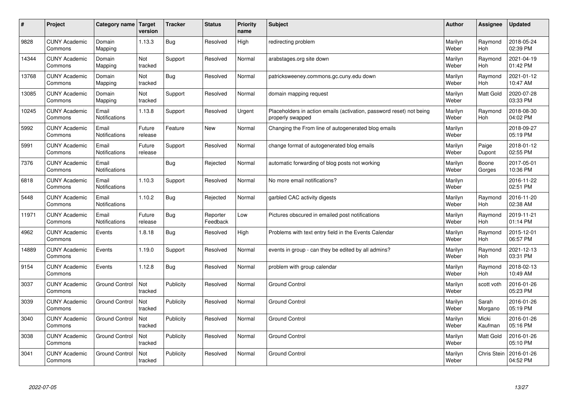| #     | Project                         | Category name                 | Target<br>version | <b>Tracker</b> | <b>Status</b>        | <b>Priority</b><br>name | <b>Subject</b>                                                                           | <b>Author</b>    | Assignee              | Updated                |
|-------|---------------------------------|-------------------------------|-------------------|----------------|----------------------|-------------------------|------------------------------------------------------------------------------------------|------------------|-----------------------|------------------------|
| 9828  | <b>CUNY Academic</b><br>Commons | Domain<br>Mapping             | 1.13.3            | Bug            | Resolved             | High                    | redirecting problem                                                                      | Marilyn<br>Weber | Raymond<br><b>Hoh</b> | 2018-05-24<br>02:39 PM |
| 14344 | <b>CUNY Academic</b><br>Commons | Domain<br>Mapping             | Not<br>tracked    | Support        | Resolved             | Normal                  | arabstages.org site down                                                                 | Marilyn<br>Weber | Raymond<br>Hoh        | 2021-04-19<br>01:42 PM |
| 13768 | <b>CUNY Academic</b><br>Commons | Domain<br>Mapping             | Not<br>tracked    | Bug            | Resolved             | Normal                  | patricksweeney.commons.gc.cuny.edu down                                                  | Marilyn<br>Weber | Raymond<br><b>Hoh</b> | 2021-01-12<br>10:47 AM |
| 13085 | <b>CUNY Academic</b><br>Commons | Domain<br>Mapping             | Not<br>tracked    | Support        | Resolved             | Normal                  | domain mapping request                                                                   | Marilyn<br>Weber | Matt Gold             | 2020-07-28<br>03:33 PM |
| 10245 | <b>CUNY Academic</b><br>Commons | Email<br>Notifications        | 1.13.8            | Support        | Resolved             | Urgent                  | Placeholders in action emails (activation, password reset) not being<br>properly swapped | Marilyn<br>Weber | Raymond<br><b>Hoh</b> | 2018-08-30<br>04:02 PM |
| 5992  | <b>CUNY Academic</b><br>Commons | Email<br>Notifications        | Future<br>release | Feature        | <b>New</b>           | Normal                  | Changing the From line of autogenerated blog emails                                      | Marilyn<br>Weber |                       | 2018-09-27<br>05:19 PM |
| 5991  | <b>CUNY Academic</b><br>Commons | Email<br>Notifications        | Future<br>release | Support        | Resolved             | Normal                  | change format of autogenerated blog emails                                               | Marilyn<br>Weber | Paige<br>Dupont       | 2018-01-12<br>02:55 PM |
| 7376  | <b>CUNY Academic</b><br>Commons | Email<br>Notifications        |                   | Bug            | Rejected             | Normal                  | automatic forwarding of blog posts not working                                           | Marilyn<br>Weber | Boone<br>Gorges       | 2017-05-01<br>10:36 PM |
| 6818  | <b>CUNY Academic</b><br>Commons | Email<br><b>Notifications</b> | 1.10.3            | Support        | Resolved             | Normal                  | No more email notifications?                                                             | Marilyn<br>Weber |                       | 2016-11-22<br>02:51 PM |
| 5448  | <b>CUNY Academic</b><br>Commons | Email<br>Notifications        | 1.10.2            | Bug            | Rejected             | Normal                  | garbled CAC activity digests                                                             | Marilyn<br>Weber | Raymond<br>Hoh        | 2016-11-20<br>02:38 AM |
| 11971 | <b>CUNY Academic</b><br>Commons | Email<br>Notifications        | Future<br>release | Bug            | Reporter<br>Feedback | Low                     | Pictures obscured in emailed post notifications                                          | Marilyn<br>Weber | Raymond<br><b>Hoh</b> | 2019-11-21<br>01:14 PM |
| 4962  | <b>CUNY Academic</b><br>Commons | Events                        | 1.8.18            | Bug            | Resolved             | High                    | Problems with text entry field in the Events Calendar                                    | Marilyn<br>Weber | Raymond<br>Hoh        | 2015-12-01<br>06:57 PM |
| 14889 | <b>CUNY Academic</b><br>Commons | Events                        | 1.19.0            | Support        | Resolved             | Normal                  | events in group - can they be edited by all admins?                                      | Marilyn<br>Weber | Raymond<br>Hoh        | 2021-12-13<br>03:31 PM |
| 9154  | <b>CUNY Academic</b><br>Commons | Events                        | 1.12.8            | Bug            | Resolved             | Normal                  | problem with group calendar                                                              | Marilyn<br>Weber | Raymond<br><b>Hoh</b> | 2018-02-13<br>10:49 AM |
| 3037  | <b>CUNY Academic</b><br>Commons | <b>Ground Control</b>         | Not<br>tracked    | Publicity      | Resolved             | Normal                  | <b>Ground Control</b>                                                                    | Marilyn<br>Weber | scott voth            | 2016-01-26<br>05:23 PM |
| 3039  | <b>CUNY Academic</b><br>Commons | <b>Ground Control</b>         | Not<br>tracked    | Publicity      | Resolved             | Normal                  | <b>Ground Control</b>                                                                    | Marilyn<br>Weber | Sarah<br>Morgano      | 2016-01-26<br>05:19 PM |
| 3040  | <b>CUNY Academic</b><br>Commons | <b>Ground Control</b>         | Not<br>tracked    | Publicity      | Resolved             | Normal                  | <b>Ground Control</b>                                                                    | Marilyn<br>Weber | Micki<br>Kaufman      | 2016-01-26<br>05:16 PM |
| 3038  | <b>CUNY Academic</b><br>Commons | <b>Ground Control</b>         | Not<br>tracked    | Publicity      | Resolved             | Normal                  | <b>Ground Control</b>                                                                    | Marilyn<br>Weber | Matt Gold             | 2016-01-26<br>05:10 PM |
| 3041  | <b>CUNY Academic</b><br>Commons | <b>Ground Control</b>         | Not<br>tracked    | Publicity      | Resolved             | Normal                  | <b>Ground Control</b>                                                                    | Marilyn<br>Weber | Chris Stein           | 2016-01-26<br>04:52 PM |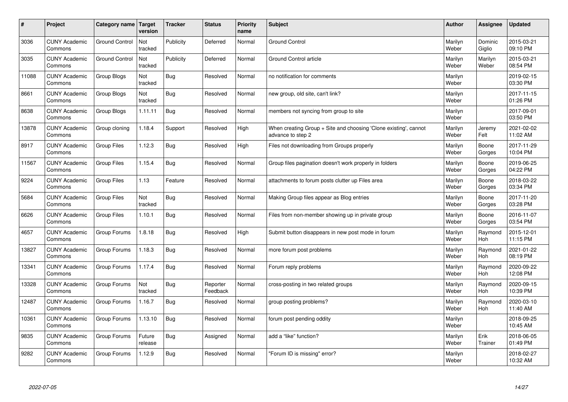| $\sharp$ | Project                         | Category name   Target | version           | <b>Tracker</b> | <b>Status</b>        | <b>Priority</b><br>name | <b>Subject</b>                                                                        | <b>Author</b>    | Assignee              | <b>Updated</b>         |
|----------|---------------------------------|------------------------|-------------------|----------------|----------------------|-------------------------|---------------------------------------------------------------------------------------|------------------|-----------------------|------------------------|
| 3036     | <b>CUNY Academic</b><br>Commons | <b>Ground Control</b>  | Not<br>tracked    | Publicity      | Deferred             | Normal                  | <b>Ground Control</b>                                                                 | Marilyn<br>Weber | Dominic<br>Giglio     | 2015-03-21<br>09:10 PM |
| 3035     | <b>CUNY Academic</b><br>Commons | <b>Ground Control</b>  | Not<br>tracked    | Publicity      | Deferred             | Normal                  | <b>Ground Control article</b>                                                         | Marilyn<br>Weber | Marilyn<br>Weber      | 2015-03-21<br>08:54 PM |
| 11088    | <b>CUNY Academic</b><br>Commons | Group Blogs            | Not<br>tracked    | Bug            | Resolved             | Normal                  | no notification for comments                                                          | Marilyn<br>Weber |                       | 2019-02-15<br>03:30 PM |
| 8661     | <b>CUNY Academic</b><br>Commons | Group Blogs            | Not<br>tracked    | Bug            | Resolved             | Normal                  | new group, old site, can't link?                                                      | Marilyn<br>Weber |                       | 2017-11-15<br>01:26 PM |
| 8638     | <b>CUNY Academic</b><br>Commons | Group Blogs            | 1.11.11           | Bug            | Resolved             | Normal                  | members not syncing from group to site                                                | Marilyn<br>Weber |                       | 2017-09-01<br>03:50 PM |
| 13878    | <b>CUNY Academic</b><br>Commons | Group cloning          | 1.18.4            | Support        | Resolved             | High                    | When creating Group + Site and choosing 'Clone existing', cannot<br>advance to step 2 | Marilyn<br>Weber | Jeremy<br>Felt        | 2021-02-02<br>11:02 AM |
| 8917     | <b>CUNY Academic</b><br>Commons | <b>Group Files</b>     | 1.12.3            | Bug            | Resolved             | High                    | Files not downloading from Groups properly                                            | Marilyn<br>Weber | Boone<br>Gorges       | 2017-11-29<br>10:04 PM |
| 11567    | <b>CUNY Academic</b><br>Commons | Group Files            | 1.15.4            | Bug            | Resolved             | Normal                  | Group files pagination doesn't work properly in folders                               | Marilyn<br>Weber | Boone<br>Gorges       | 2019-06-25<br>04:22 PM |
| 9224     | <b>CUNY Academic</b><br>Commons | <b>Group Files</b>     | 1.13              | Feature        | Resolved             | Normal                  | attachments to forum posts clutter up Files area                                      | Marilyn<br>Weber | Boone<br>Gorges       | 2018-03-22<br>03:34 PM |
| 5684     | <b>CUNY Academic</b><br>Commons | <b>Group Files</b>     | Not<br>tracked    | Bug            | Resolved             | Normal                  | Making Group files appear as Blog entries                                             | Marilyn<br>Weber | Boone<br>Gorges       | 2017-11-20<br>03:28 PM |
| 6626     | <b>CUNY Academic</b><br>Commons | <b>Group Files</b>     | 1.10.1            | Bug            | Resolved             | Normal                  | Files from non-member showing up in private group                                     | Marilyn<br>Weber | Boone<br>Gorges       | 2016-11-07<br>03:54 PM |
| 4657     | <b>CUNY Academic</b><br>Commons | Group Forums           | 1.8.18            | Bug            | Resolved             | High                    | Submit button disappears in new post mode in forum                                    | Marilyn<br>Weber | Raymond<br>Hoh        | 2015-12-01<br>11:15 PM |
| 13827    | <b>CUNY Academic</b><br>Commons | Group Forums           | 1.18.3            | Bug            | Resolved             | Normal                  | more forum post problems                                                              | Marilyn<br>Weber | Raymond<br>Hoh        | 2021-01-22<br>08:19 PM |
| 13341    | <b>CUNY Academic</b><br>Commons | Group Forums           | 1.17.4            | Bug            | Resolved             | Normal                  | Forum reply problems                                                                  | Marilyn<br>Weber | Raymond<br>Hoh        | 2020-09-22<br>12:08 PM |
| 13328    | <b>CUNY Academic</b><br>Commons | Group Forums           | Not<br>tracked    | Bug            | Reporter<br>Feedback | Normal                  | cross-posting in two related groups                                                   | Marilyn<br>Weber | Raymond<br>Hoh        | 2020-09-15<br>10:39 PM |
| 12487    | <b>CUNY Academic</b><br>Commons | Group Forums           | 1.16.7            | Bug            | Resolved             | Normal                  | group posting problems?                                                               | Marilyn<br>Weber | Raymond<br><b>Hoh</b> | 2020-03-10<br>11:40 AM |
| 10361    | <b>CUNY Academic</b><br>Commons | Group Forums           | 1.13.10           | Bug            | Resolved             | Normal                  | forum post pending oddity                                                             | Marilyn<br>Weber |                       | 2018-09-25<br>10:45 AM |
| 9835     | <b>CUNY Academic</b><br>Commons | Group Forums           | Future<br>release | <b>Bug</b>     | Assigned             | Normal                  | add a "like" function?                                                                | Marilyn<br>Weber | Erik<br>Trainer       | 2018-06-05<br>01:49 PM |
| 9282     | <b>CUNY Academic</b><br>Commons | Group Forums           | 1.12.9            | <b>Bug</b>     | Resolved             | Normal                  | 'Forum ID is missing" error?                                                          | Marilyn<br>Weber |                       | 2018-02-27<br>10:32 AM |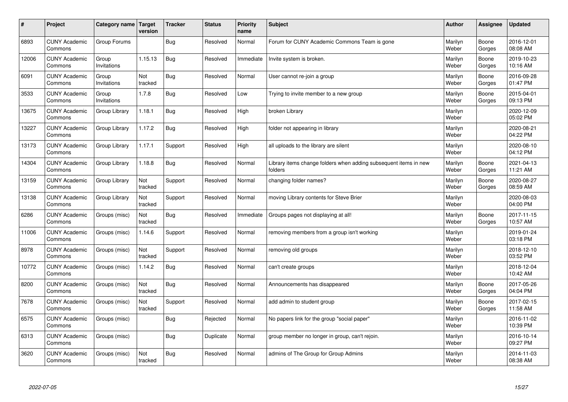| #     | Project                         | Category name   Target | version        | <b>Tracker</b> | <b>Status</b> | Priority<br>name | <b>Subject</b>                                                              | <b>Author</b>    | <b>Assignee</b> | <b>Updated</b>         |
|-------|---------------------------------|------------------------|----------------|----------------|---------------|------------------|-----------------------------------------------------------------------------|------------------|-----------------|------------------------|
| 6893  | <b>CUNY Academic</b><br>Commons | Group Forums           |                | Bug            | Resolved      | Normal           | Forum for CUNY Academic Commons Team is gone                                | Marilyn<br>Weber | Boone<br>Gorges | 2016-12-01<br>08:08 AM |
| 12006 | <b>CUNY Academic</b><br>Commons | Group<br>Invitations   | 1.15.13        | <b>Bug</b>     | Resolved      | Immediate        | Invite system is broken.                                                    | Marilyn<br>Weber | Boone<br>Gorges | 2019-10-23<br>10:16 AM |
| 6091  | <b>CUNY Academic</b><br>Commons | Group<br>Invitations   | Not<br>tracked | Bug            | Resolved      | Normal           | User cannot re-join a group                                                 | Marilyn<br>Weber | Boone<br>Gorges | 2016-09-28<br>01:47 PM |
| 3533  | <b>CUNY Academic</b><br>Commons | Group<br>Invitations   | 1.7.8          | Bug            | Resolved      | Low              | Trying to invite member to a new group                                      | Marilyn<br>Weber | Boone<br>Gorges | 2015-04-01<br>09:13 PM |
| 13675 | <b>CUNY Academic</b><br>Commons | Group Library          | 1.18.1         | Bug            | Resolved      | High             | broken Library                                                              | Marilyn<br>Weber |                 | 2020-12-09<br>05:02 PM |
| 13227 | <b>CUNY Academic</b><br>Commons | Group Library          | 1.17.2         | Bug            | Resolved      | High             | folder not appearing in library                                             | Marilyn<br>Weber |                 | 2020-08-21<br>04:22 PM |
| 13173 | <b>CUNY Academic</b><br>Commons | Group Library          | 1.17.1         | Support        | Resolved      | High             | all uploads to the library are silent                                       | Marilyn<br>Weber |                 | 2020-08-10<br>04:12 PM |
| 14304 | <b>CUNY Academic</b><br>Commons | Group Library          | 1.18.8         | Bug            | Resolved      | Normal           | Library items change folders when adding subsequent items in new<br>folders | Marilyn<br>Weber | Boone<br>Gorges | 2021-04-13<br>11:21 AM |
| 13159 | <b>CUNY Academic</b><br>Commons | Group Library          | Not<br>tracked | Support        | Resolved      | Normal           | changing folder names?                                                      | Marilyn<br>Weber | Boone<br>Gorges | 2020-08-27<br>08:59 AM |
| 13138 | <b>CUNY Academic</b><br>Commons | Group Library          | Not<br>tracked | Support        | Resolved      | Normal           | moving Library contents for Steve Brier                                     | Marilyn<br>Weber |                 | 2020-08-03<br>04:00 PM |
| 6286  | <b>CUNY Academic</b><br>Commons | Groups (misc)          | Not<br>tracked | Bug            | Resolved      | Immediate        | Groups pages not displaying at all!                                         | Marilyn<br>Weber | Boone<br>Gorges | 2017-11-15<br>10:57 AM |
| 11006 | <b>CUNY Academic</b><br>Commons | Groups (misc)          | 1.14.6         | Support        | Resolved      | Normal           | removing members from a group isn't working                                 | Marilyn<br>Weber |                 | 2019-01-24<br>03:18 PM |
| 8978  | <b>CUNY Academic</b><br>Commons | Groups (misc)          | Not<br>tracked | Support        | Resolved      | Normal           | removing old groups                                                         | Marilyn<br>Weber |                 | 2018-12-10<br>03:52 PM |
| 10772 | <b>CUNY Academic</b><br>Commons | Groups (misc)          | 1.14.2         | Bug            | Resolved      | Normal           | can't create groups                                                         | Marilyn<br>Weber |                 | 2018-12-04<br>10:42 AM |
| 8200  | <b>CUNY Academic</b><br>Commons | Groups (misc)          | Not<br>tracked | Bug            | Resolved      | Normal           | Announcements has disappeared                                               | Marilyn<br>Weber | Boone<br>Gorges | 2017-05-26<br>04:04 PM |
| 7678  | <b>CUNY Academic</b><br>Commons | Groups (misc)          | Not<br>tracked | Support        | Resolved      | Normal           | add admin to student group                                                  | Marilyn<br>Weber | Boone<br>Gorges | 2017-02-15<br>11:58 AM |
| 6575  | <b>CUNY Academic</b><br>Commons | Groups (misc)          |                | Bug            | Rejected      | Normal           | No papers link for the group "social paper"                                 | Marilyn<br>Weber |                 | 2016-11-02<br>10:39 PM |
| 6313  | <b>CUNY Academic</b><br>Commons | Groups (misc)          |                | Bug            | Duplicate     | Normal           | group member no longer in group, can't rejoin.                              | Marilyn<br>Weber |                 | 2016-10-14<br>09:27 PM |
| 3620  | <b>CUNY Academic</b><br>Commons | Groups (misc)          | Not<br>tracked | Bug            | Resolved      | Normal           | admins of The Group for Group Admins                                        | Marilyn<br>Weber |                 | 2014-11-03<br>08:38 AM |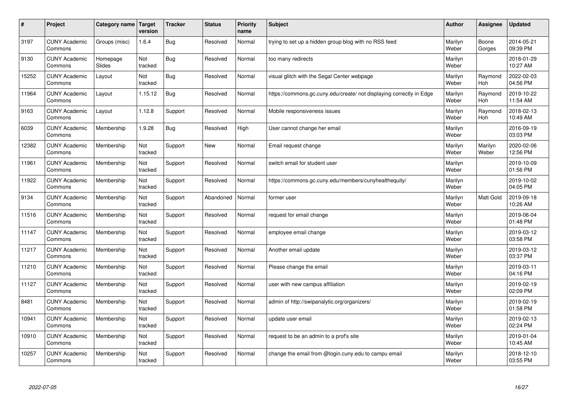| $\sharp$ | Project                         | Category name   Target | version        | <b>Tracker</b> | <b>Status</b> | <b>Priority</b><br>name | <b>Subject</b>                                                       | <b>Author</b>    | Assignee              | <b>Updated</b>         |
|----------|---------------------------------|------------------------|----------------|----------------|---------------|-------------------------|----------------------------------------------------------------------|------------------|-----------------------|------------------------|
| 3197     | <b>CUNY Academic</b><br>Commons | Groups (misc)          | 1.6.4          | Bug            | Resolved      | Normal                  | trying to set up a hidden group blog with no RSS feed                | Marilyn<br>Weber | Boone<br>Gorges       | 2014-05-21<br>09:39 PM |
| 9130     | <b>CUNY Academic</b><br>Commons | Homepage<br>Slides     | Not<br>tracked | <b>Bug</b>     | Resolved      | Normal                  | too many redirects                                                   | Marilyn<br>Weber |                       | 2018-01-29<br>10:27 AM |
| 15252    | <b>CUNY Academic</b><br>Commons | Layout                 | Not<br>tracked | Bug            | Resolved      | Normal                  | visual glitch with the Segal Center webpage                          | Marilyn<br>Weber | Raymond<br><b>Hoh</b> | 2022-02-03<br>04:56 PM |
| 11964    | <b>CUNY Academic</b><br>Commons | Layout                 | 1.15.12        | Bug            | Resolved      | Normal                  | https://commons.gc.cuny.edu/create/ not displaying correctly in Edge | Marilyn<br>Weber | Raymond<br><b>Hoh</b> | 2019-10-22<br>11:54 AM |
| 9163     | <b>CUNY Academic</b><br>Commons | Layout                 | 1.12.8         | Support        | Resolved      | Normal                  | Mobile responsiveness issues                                         | Marilyn<br>Weber | Raymond<br>Hoh        | 2018-02-13<br>10:49 AM |
| 6039     | <b>CUNY Academic</b><br>Commons | Membership             | 1.9.28         | Bug            | Resolved      | High                    | User cannot change her email                                         | Marilyn<br>Weber |                       | 2016-09-19<br>03:03 PM |
| 12382    | <b>CUNY Academic</b><br>Commons | Membership             | Not<br>tracked | Support        | <b>New</b>    | Normal                  | Email request change                                                 | Marilyn<br>Weber | Marilyn<br>Weber      | 2020-02-06<br>12:56 PM |
| 11961    | <b>CUNY Academic</b><br>Commons | Membership             | Not<br>tracked | Support        | Resolved      | Normal                  | switch email for student user                                        | Marilyn<br>Weber |                       | 2019-10-09<br>01:56 PM |
| 11922    | <b>CUNY Academic</b><br>Commons | Membership             | Not<br>tracked | Support        | Resolved      | Normal                  | https://commons.gc.cuny.edu/members/cunyhealthequity/                | Marilyn<br>Weber |                       | 2019-10-02<br>04:05 PM |
| 9134     | <b>CUNY Academic</b><br>Commons | Membership             | Not<br>tracked | Support        | Abandoned     | Normal                  | former user                                                          | Marilyn<br>Weber | Matt Gold             | 2019-09-18<br>10:26 AM |
| 11516    | <b>CUNY Academic</b><br>Commons | Membership             | Not<br>tracked | Support        | Resolved      | Normal                  | request for email change                                             | Marilyn<br>Weber |                       | 2019-06-04<br>01:48 PM |
| 11147    | <b>CUNY Academic</b><br>Commons | Membership             | Not<br>tracked | Support        | Resolved      | Normal                  | employee email change                                                | Marilyn<br>Weber |                       | 2019-03-12<br>03:58 PM |
| 11217    | <b>CUNY Academic</b><br>Commons | Membership             | Not<br>tracked | Support        | Resolved      | Normal                  | Another email update                                                 | Marilyn<br>Weber |                       | 2019-03-12<br>03:37 PM |
| 11210    | <b>CUNY Academic</b><br>Commons | Membership             | Not<br>tracked | Support        | Resolved      | Normal                  | Please change the email                                              | Marilyn<br>Weber |                       | 2019-03-11<br>04:16 PM |
| 11127    | <b>CUNY Academic</b><br>Commons | Membership             | Not<br>tracked | Support        | Resolved      | Normal                  | user with new campus affiliation                                     | Marilyn<br>Weber |                       | 2019-02-19<br>02:09 PM |
| 8481     | <b>CUNY Academic</b><br>Commons | Membership             | Not<br>tracked | Support        | Resolved      | Normal                  | admin of http://swipanalytic.org/organizers/                         | Marilyn<br>Weber |                       | 2019-02-19<br>01:58 PM |
| 10941    | <b>CUNY Academic</b><br>Commons | Membership             | Not<br>tracked | Support        | Resolved      | Normal                  | update user email                                                    | Marilyn<br>Weber |                       | 2019-02-13<br>02:24 PM |
| 10910    | <b>CUNY Academic</b><br>Commons | Membership             | Not<br>tracked | Support        | Resolved      | Normal                  | request to be an admin to a prof's site                              | Marilyn<br>Weber |                       | 2019-01-04<br>10:45 AM |
| 10257    | <b>CUNY Academic</b><br>Commons | Membership             | Not<br>tracked | Support        | Resolved      | Normal                  | change the email from @login.cuny.edu to campu email                 | Marilyn<br>Weber |                       | 2018-12-10<br>03:55 PM |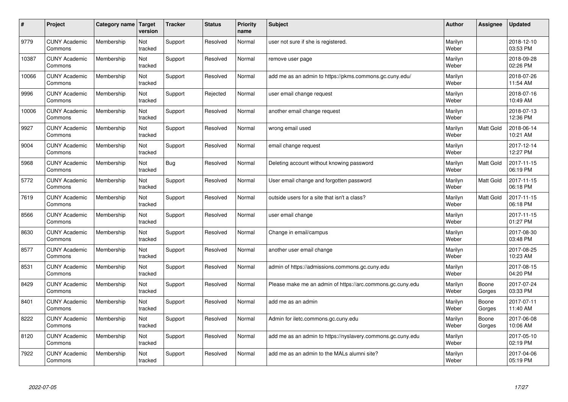| #     | Project                         | Category name | Target<br>version | <b>Tracker</b> | <b>Status</b> | <b>Priority</b><br>name | <b>Subject</b>                                              | <b>Author</b>    | <b>Assignee</b>  | <b>Updated</b>         |
|-------|---------------------------------|---------------|-------------------|----------------|---------------|-------------------------|-------------------------------------------------------------|------------------|------------------|------------------------|
| 9779  | <b>CUNY Academic</b><br>Commons | Membership    | Not<br>tracked    | Support        | Resolved      | Normal                  | user not sure if she is registered.                         | Marilyn<br>Weber |                  | 2018-12-10<br>03:53 PM |
| 10387 | <b>CUNY Academic</b><br>Commons | Membership    | Not<br>tracked    | Support        | Resolved      | Normal                  | remove user page                                            | Marilyn<br>Weber |                  | 2018-09-28<br>02:26 PM |
| 10066 | <b>CUNY Academic</b><br>Commons | Membership    | Not<br>tracked    | Support        | Resolved      | Normal                  | add me as an admin to https://pkms.commons.gc.cuny.edu/     | Marilyn<br>Weber |                  | 2018-07-26<br>11:54 AM |
| 9996  | <b>CUNY Academic</b><br>Commons | Membership    | Not<br>tracked    | Support        | Rejected      | Normal                  | user email change request                                   | Marilyn<br>Weber |                  | 2018-07-16<br>10:49 AM |
| 10006 | <b>CUNY Academic</b><br>Commons | Membership    | Not<br>tracked    | Support        | Resolved      | Normal                  | another email change request                                | Marilyn<br>Weber |                  | 2018-07-13<br>12:36 PM |
| 9927  | <b>CUNY Academic</b><br>Commons | Membership    | Not<br>tracked    | Support        | Resolved      | Normal                  | wrong email used                                            | Marilyn<br>Weber | <b>Matt Gold</b> | 2018-06-14<br>10:21 AM |
| 9004  | <b>CUNY Academic</b><br>Commons | Membership    | Not<br>tracked    | Support        | Resolved      | Normal                  | email change request                                        | Marilyn<br>Weber |                  | 2017-12-14<br>12:27 PM |
| 5968  | <b>CUNY Academic</b><br>Commons | Membership    | Not<br>tracked    | Bug            | Resolved      | Normal                  | Deleting account without knowing password                   | Marilyn<br>Weber | Matt Gold        | 2017-11-15<br>06:19 PM |
| 5772  | <b>CUNY Academic</b><br>Commons | Membership    | Not<br>tracked    | Support        | Resolved      | Normal                  | User email change and forgotten password                    | Marilyn<br>Weber | <b>Matt Gold</b> | 2017-11-15<br>06:18 PM |
| 7619  | <b>CUNY Academic</b><br>Commons | Membership    | Not<br>tracked    | Support        | Resolved      | Normal                  | outside users for a site that isn't a class?                | Marilyn<br>Weber | <b>Matt Gold</b> | 2017-11-15<br>06:18 PM |
| 8566  | <b>CUNY Academic</b><br>Commons | Membership    | Not<br>tracked    | Support        | Resolved      | Normal                  | user email change                                           | Marilyn<br>Weber |                  | 2017-11-15<br>01:27 PM |
| 8630  | <b>CUNY Academic</b><br>Commons | Membership    | Not<br>tracked    | Support        | Resolved      | Normal                  | Change in email/campus                                      | Marilyn<br>Weber |                  | 2017-08-30<br>03:48 PM |
| 8577  | <b>CUNY Academic</b><br>Commons | Membership    | Not<br>tracked    | Support        | Resolved      | Normal                  | another user email change                                   | Marilyn<br>Weber |                  | 2017-08-25<br>10:23 AM |
| 8531  | <b>CUNY Academic</b><br>Commons | Membership    | Not<br>tracked    | Support        | Resolved      | Normal                  | admin of https://admissions.commons.gc.cuny.edu             | Marilyn<br>Weber |                  | 2017-08-15<br>04:20 PM |
| 8429  | <b>CUNY Academic</b><br>Commons | Membership    | Not<br>tracked    | Support        | Resolved      | Normal                  | Please make me an admin of https://arc.commons.gc.cuny.edu  | Marilyn<br>Weber | Boone<br>Gorges  | 2017-07-24<br>03:33 PM |
| 8401  | <b>CUNY Academic</b><br>Commons | Membership    | Not<br>tracked    | Support        | Resolved      | Normal                  | add me as an admin                                          | Marilyn<br>Weber | Boone<br>Gorges  | 2017-07-11<br>11:40 AM |
| 8222  | <b>CUNY Academic</b><br>Commons | Membership    | Not<br>tracked    | Support        | Resolved      | Normal                  | Admin for iletc.commons.gc.cuny.edu                         | Marilyn<br>Weber | Boone<br>Gorges  | 2017-06-08<br>10:06 AM |
| 8120  | <b>CUNY Academic</b><br>Commons | Membership    | Not<br>tracked    | Support        | Resolved      | Normal                  | add me as an admin to https://nyslavery.commons.gc.cuny.edu | Marilyn<br>Weber |                  | 2017-05-10<br>02:19 PM |
| 7922  | <b>CUNY Academic</b><br>Commons | Membership    | Not<br>tracked    | Support        | Resolved      | Normal                  | add me as an admin to the MALs alumni site?                 | Marilyn<br>Weber |                  | 2017-04-06<br>05:19 PM |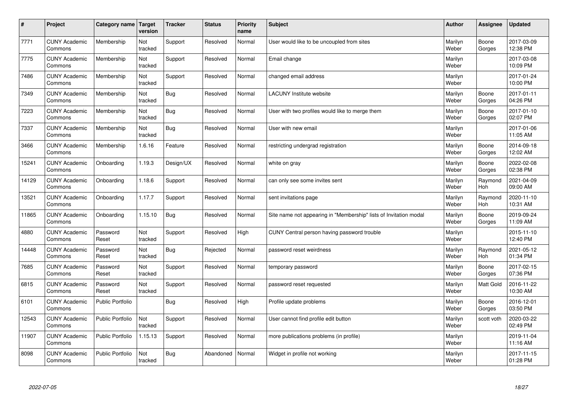| $\sharp$ | Project                         | Category name   Target  | version        | <b>Tracker</b> | <b>Status</b> | <b>Priority</b><br>name | <b>Subject</b>                                                    | <b>Author</b>    | Assignee              | Updated                |
|----------|---------------------------------|-------------------------|----------------|----------------|---------------|-------------------------|-------------------------------------------------------------------|------------------|-----------------------|------------------------|
| 7771     | <b>CUNY Academic</b><br>Commons | Membership              | Not<br>tracked | Support        | Resolved      | Normal                  | User would like to be uncoupled from sites                        | Marilyn<br>Weber | Boone<br>Gorges       | 2017-03-09<br>12:38 PM |
| 7775     | <b>CUNY Academic</b><br>Commons | Membership              | Not<br>tracked | Support        | Resolved      | Normal                  | Email change                                                      | Marilyn<br>Weber |                       | 2017-03-08<br>10:09 PM |
| 7486     | <b>CUNY Academic</b><br>Commons | Membership              | Not<br>tracked | Support        | Resolved      | Normal                  | changed email address                                             | Marilyn<br>Weber |                       | 2017-01-24<br>10:00 PM |
| 7349     | <b>CUNY Academic</b><br>Commons | Membership              | Not<br>tracked | Bug            | Resolved      | Normal                  | <b>LACUNY Institute website</b>                                   | Marilyn<br>Weber | Boone<br>Gorges       | 2017-01-11<br>04:26 PM |
| 7223     | <b>CUNY Academic</b><br>Commons | Membership              | Not<br>tracked | Bug            | Resolved      | Normal                  | User with two profiles would like to merge them                   | Marilyn<br>Weber | Boone<br>Gorges       | 2017-01-10<br>02:07 PM |
| 7337     | <b>CUNY Academic</b><br>Commons | Membership              | Not<br>tracked | Bug            | Resolved      | Normal                  | User with new email                                               | Marilyn<br>Weber |                       | 2017-01-06<br>11:05 AM |
| 3466     | <b>CUNY Academic</b><br>Commons | Membership              | 1.6.16         | Feature        | Resolved      | Normal                  | restricting undergrad registration                                | Marilyn<br>Weber | Boone<br>Gorges       | 2014-09-18<br>12:02 AM |
| 15241    | <b>CUNY Academic</b><br>Commons | Onboarding              | 1.19.3         | Design/UX      | Resolved      | Normal                  | white on gray                                                     | Marilyn<br>Weber | Boone<br>Gorges       | 2022-02-08<br>02:38 PM |
| 14129    | <b>CUNY Academic</b><br>Commons | Onboarding              | 1.18.6         | Support        | Resolved      | Normal                  | can only see some invites sent                                    | Marilyn<br>Weber | Raymond<br><b>Hoh</b> | 2021-04-09<br>09:00 AM |
| 13521    | <b>CUNY Academic</b><br>Commons | Onboarding              | 1.17.7         | Support        | Resolved      | Normal                  | sent invitations page                                             | Marilyn<br>Weber | Raymond<br>Hoh        | 2020-11-10<br>10:31 AM |
| 11865    | <b>CUNY Academic</b><br>Commons | Onboarding              | 1.15.10        | Bug            | Resolved      | Normal                  | Site name not appearing in "Membership" lists of Invitation modal | Marilyn<br>Weber | Boone<br>Gorges       | 2019-09-24<br>11:09 AM |
| 4880     | <b>CUNY Academic</b><br>Commons | Password<br>Reset       | Not<br>tracked | Support        | Resolved      | High                    | CUNY Central person having password trouble                       | Marilyn<br>Weber |                       | 2015-11-10<br>12:40 PM |
| 14448    | <b>CUNY Academic</b><br>Commons | Password<br>Reset       | Not<br>tracked | Bug            | Rejected      | Normal                  | password reset weirdness                                          | Marilyn<br>Weber | Raymond<br>Hoh        | 2021-05-12<br>01:34 PM |
| 7685     | <b>CUNY Academic</b><br>Commons | Password<br>Reset       | Not<br>tracked | Support        | Resolved      | Normal                  | temporary password                                                | Marilyn<br>Weber | Boone<br>Gorges       | 2017-02-15<br>07:36 PM |
| 6815     | <b>CUNY Academic</b><br>Commons | Password<br>Reset       | Not<br>tracked | Support        | Resolved      | Normal                  | password reset requested                                          | Marilyn<br>Weber | <b>Matt Gold</b>      | 2016-11-22<br>10:30 AM |
| 6101     | <b>CUNY Academic</b><br>Commons | <b>Public Portfolio</b> |                | Bug            | Resolved      | High                    | Profile update problems                                           | Marilyn<br>Weber | Boone<br>Gorges       | 2016-12-01<br>03:50 PM |
| 12543    | <b>CUNY Academic</b><br>Commons | Public Portfolio        | Not<br>tracked | Support        | Resolved      | Normal                  | User cannot find profile edit button                              | Marilyn<br>Weber | scott voth            | 2020-03-22<br>02:49 PM |
| 11907    | <b>CUNY Academic</b><br>Commons | Public Portfolio        | 1.15.13        | Support        | Resolved      | Normal                  | more publications problems (in profile)                           | Marilyn<br>Weber |                       | 2019-11-04<br>11:16 AM |
| 8098     | <b>CUNY Academic</b><br>Commons | Public Portfolio        | Not<br>tracked | Bug            | Abandoned     | Normal                  | Widget in profile not working                                     | Marilyn<br>Weber |                       | 2017-11-15<br>01:28 PM |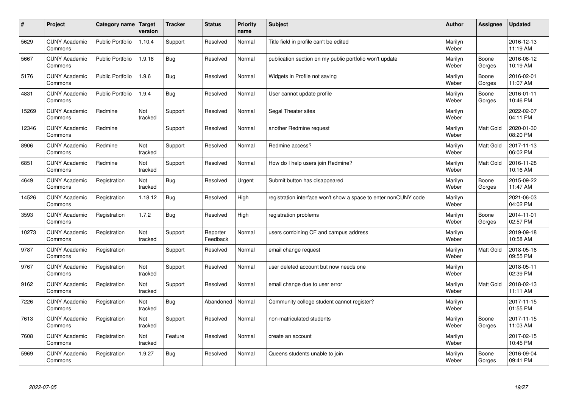| $\pmb{\sharp}$ | Project                         | Category name           | Target<br>version | <b>Tracker</b> | <b>Status</b>        | <b>Priority</b><br>name | <b>Subject</b>                                                  | <b>Author</b>    | Assignee        | <b>Updated</b>         |
|----------------|---------------------------------|-------------------------|-------------------|----------------|----------------------|-------------------------|-----------------------------------------------------------------|------------------|-----------------|------------------------|
| 5629           | <b>CUNY Academic</b><br>Commons | <b>Public Portfolio</b> | 1.10.4            | Support        | Resolved             | Normal                  | Title field in profile can't be edited                          | Marilyn<br>Weber |                 | 2016-12-13<br>11:19 AM |
| 5667           | <b>CUNY Academic</b><br>Commons | <b>Public Portfolio</b> | 1.9.18            | <b>Bug</b>     | Resolved             | Normal                  | publication section on my public portfolio won't update         | Marilyn<br>Weber | Boone<br>Gorges | 2016-06-12<br>10:19 AM |
| 5176           | <b>CUNY Academic</b><br>Commons | <b>Public Portfolio</b> | 1.9.6             | Bug            | Resolved             | Normal                  | Widgets in Profile not saving                                   | Marilyn<br>Weber | Boone<br>Gorges | 2016-02-01<br>11:07 AM |
| 4831           | <b>CUNY Academic</b><br>Commons | <b>Public Portfolio</b> | 1.9.4             | <b>Bug</b>     | Resolved             | Normal                  | User cannot update profile                                      | Marilyn<br>Weber | Boone<br>Gorges | 2016-01-11<br>10:46 PM |
| 15269          | <b>CUNY Academic</b><br>Commons | Redmine                 | Not<br>tracked    | Support        | Resolved             | Normal                  | Segal Theater sites                                             | Marilyn<br>Weber |                 | 2022-02-07<br>04:11 PM |
| 12346          | <b>CUNY Academic</b><br>Commons | Redmine                 |                   | Support        | Resolved             | Normal                  | another Redmine request                                         | Marilyn<br>Weber | Matt Gold       | 2020-01-30<br>08:20 PM |
| 8906           | <b>CUNY Academic</b><br>Commons | Redmine                 | Not<br>tracked    | Support        | Resolved             | Normal                  | Redmine access?                                                 | Marilyn<br>Weber | Matt Gold       | 2017-11-13<br>06:02 PM |
| 6851           | <b>CUNY Academic</b><br>Commons | Redmine                 | Not<br>tracked    | Support        | Resolved             | Normal                  | How do I help users join Redmine?                               | Marilyn<br>Weber | Matt Gold       | 2016-11-28<br>10:16 AM |
| 4649           | <b>CUNY Academic</b><br>Commons | Registration            | Not<br>tracked    | <b>Bug</b>     | Resolved             | Urgent                  | Submit button has disappeared                                   | Marilyn<br>Weber | Boone<br>Gorges | 2015-09-22<br>11:47 AM |
| 14526          | <b>CUNY Academic</b><br>Commons | Registration            | 1.18.12           | <b>Bug</b>     | Resolved             | High                    | registration interface won't show a space to enter nonCUNY code | Marilyn<br>Weber |                 | 2021-06-03<br>04:02 PM |
| 3593           | <b>CUNY Academic</b><br>Commons | Registration            | 1.7.2             | Bug            | Resolved             | High                    | registration problems                                           | Marilyn<br>Weber | Boone<br>Gorges | 2014-11-01<br>02:57 PM |
| 10273          | <b>CUNY Academic</b><br>Commons | Registration            | Not<br>tracked    | Support        | Reporter<br>Feedback | Normal                  | users combining CF and campus address                           | Marilyn<br>Weber |                 | 2019-09-18<br>10:58 AM |
| 9787           | <b>CUNY Academic</b><br>Commons | Registration            |                   | Support        | Resolved             | Normal                  | email change request                                            | Marilyn<br>Weber | Matt Gold       | 2018-05-16<br>09:55 PM |
| 9767           | <b>CUNY Academic</b><br>Commons | Registration            | Not<br>tracked    | Support        | Resolved             | Normal                  | user deleted account but now needs one                          | Marilyn<br>Weber |                 | 2018-05-11<br>02:39 PM |
| 9162           | <b>CUNY Academic</b><br>Commons | Registration            | Not<br>tracked    | Support        | Resolved             | Normal                  | email change due to user error                                  | Marilyn<br>Weber | Matt Gold       | 2018-02-13<br>11:11 AM |
| 7226           | <b>CUNY Academic</b><br>Commons | Registration            | Not<br>tracked    | Bug            | Abandoned            | Normal                  | Community college student cannot register?                      | Marilyn<br>Weber |                 | 2017-11-15<br>01:55 PM |
| 7613           | <b>CUNY Academic</b><br>Commons | Registration            | Not<br>tracked    | Support        | Resolved             | Normal                  | non-matriculated students                                       | Marilyn<br>Weber | Boone<br>Gorges | 2017-11-15<br>11:03 AM |
| 7608           | <b>CUNY Academic</b><br>Commons | Registration            | Not<br>tracked    | Feature        | Resolved             | Normal                  | create an account                                               | Marilyn<br>Weber |                 | 2017-02-15<br>10:45 PM |
| 5969           | <b>CUNY Academic</b><br>Commons | Registration            | 1.9.27            | <b>Bug</b>     | Resolved             | Normal                  | Queens students unable to join                                  | Marilyn<br>Weber | Boone<br>Gorges | 2016-09-04<br>09:41 PM |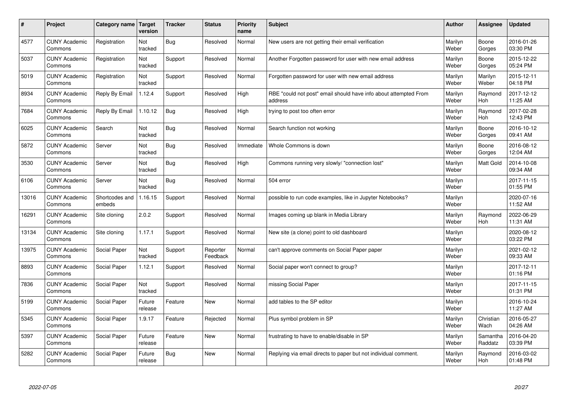| #     | Project                         | Category name            | <b>Target</b><br>version | <b>Tracker</b> | <b>Status</b>        | <b>Priority</b><br>name | <b>Subject</b>                                                              | <b>Author</b>    | Assignee              | <b>Updated</b>         |
|-------|---------------------------------|--------------------------|--------------------------|----------------|----------------------|-------------------------|-----------------------------------------------------------------------------|------------------|-----------------------|------------------------|
| 4577  | <b>CUNY Academic</b><br>Commons | Registration             | Not<br>tracked           | <b>Bug</b>     | Resolved             | Normal                  | New users are not getting their email verification                          | Marilyn<br>Weber | Boone<br>Gorges       | 2016-01-26<br>03:30 PM |
| 5037  | <b>CUNY Academic</b><br>Commons | Registration             | Not<br>tracked           | Support        | Resolved             | Normal                  | Another Forgotten password for user with new email address                  | Marilyn<br>Weber | Boone<br>Gorges       | 2015-12-22<br>05:24 PM |
| 5019  | <b>CUNY Academic</b><br>Commons | Registration             | Not<br>tracked           | Support        | Resolved             | Normal                  | Forgotten password for user with new email address                          | Marilyn<br>Weber | Marilyn<br>Weber      | 2015-12-11<br>04:18 PM |
| 8934  | <b>CUNY Academic</b><br>Commons | Reply By Email           | 1.12.4                   | Support        | Resolved             | High                    | RBE "could not post" email should have info about attempted From<br>address | Marilyn<br>Weber | Raymond<br>Hoh        | 2017-12-12<br>11:25 AM |
| 7684  | <b>CUNY Academic</b><br>Commons | Reply By Email           | 1.10.12                  | <b>Bug</b>     | Resolved             | High                    | trying to post too often error                                              | Marilyn<br>Weber | Raymond<br><b>Hoh</b> | 2017-02-28<br>12:43 PM |
| 6025  | <b>CUNY Academic</b><br>Commons | Search                   | Not<br>tracked           | Bug            | Resolved             | Normal                  | Search function not working                                                 | Marilyn<br>Weber | Boone<br>Gorges       | 2016-10-12<br>09:41 AM |
| 5872  | <b>CUNY Academic</b><br>Commons | Server                   | Not<br>tracked           | <b>Bug</b>     | Resolved             | Immediate               | Whole Commons is down                                                       | Marilyn<br>Weber | Boone<br>Gorges       | 2016-08-12<br>12:04 AM |
| 3530  | <b>CUNY Academic</b><br>Commons | Server                   | Not<br>tracked           | Bug            | Resolved             | High                    | Commons running very slowly/ "connection lost"                              | Marilyn<br>Weber | Matt Gold             | 2014-10-08<br>09:34 AM |
| 6106  | <b>CUNY Academic</b><br>Commons | Server                   | Not<br>tracked           | Bug            | Resolved             | Normal                  | 504 error                                                                   | Marilyn<br>Weber |                       | 2017-11-15<br>01:55 PM |
| 13016 | <b>CUNY Academic</b><br>Commons | Shortcodes and<br>embeds | 1.16.15                  | Support        | Resolved             | Normal                  | possible to run code examples, like in Jupyter Notebooks?                   | Marilyn<br>Weber |                       | 2020-07-16<br>11:52 AM |
| 16291 | <b>CUNY Academic</b><br>Commons | Site cloning             | 2.0.2                    | Support        | Resolved             | Normal                  | Images coming up blank in Media Library                                     | Marilyn<br>Weber | Raymond<br>Hoh        | 2022-06-29<br>11:31 AM |
| 13134 | <b>CUNY Academic</b><br>Commons | Site cloning             | 1.17.1                   | Support        | Resolved             | Normal                  | New site (a clone) point to old dashboard                                   | Marilyn<br>Weber |                       | 2020-08-12<br>03:22 PM |
| 13975 | <b>CUNY Academic</b><br>Commons | Social Paper             | Not<br>tracked           | Support        | Reporter<br>Feedback | Normal                  | can't approve comments on Social Paper paper                                | Marilyn<br>Weber |                       | 2021-02-12<br>09:33 AM |
| 8893  | <b>CUNY Academic</b><br>Commons | Social Paper             | 1.12.1                   | Support        | Resolved             | Normal                  | Social paper won't connect to group?                                        | Marilyn<br>Weber |                       | 2017-12-11<br>01:16 PM |
| 7836  | <b>CUNY Academic</b><br>Commons | Social Paper             | Not<br>tracked           | Support        | Resolved             | Normal                  | missing Social Paper                                                        | Marilyn<br>Weber |                       | 2017-11-15<br>01:31 PM |
| 5199  | <b>CUNY Academic</b><br>Commons | Social Paper             | Future<br>release        | Feature        | <b>New</b>           | Normal                  | add tables to the SP editor                                                 | Marilyn<br>Weber |                       | 2016-10-24<br>11:27 AM |
| 5345  | <b>CUNY Academic</b><br>Commons | Social Paper             | 1.9.17                   | Feature        | Rejected             | Normal                  | Plus symbol problem in SP                                                   | Marilyn<br>Weber | Christian<br>Wach     | 2016-05-27<br>04:26 AM |
| 5397  | <b>CUNY Academic</b><br>Commons | Social Paper             | Future<br>release        | Feature        | <b>New</b>           | Normal                  | frustrating to have to enable/disable in SP                                 | Marilyn<br>Weber | Samantha<br>Raddatz   | 2016-04-20<br>03:39 PM |
| 5282  | <b>CUNY Academic</b><br>Commons | Social Paper             | Future<br>release        | Bug            | New                  | Normal                  | Replying via email directs to paper but not individual comment.             | Marilyn<br>Weber | Raymond<br>Hoh        | 2016-03-02<br>01:48 PM |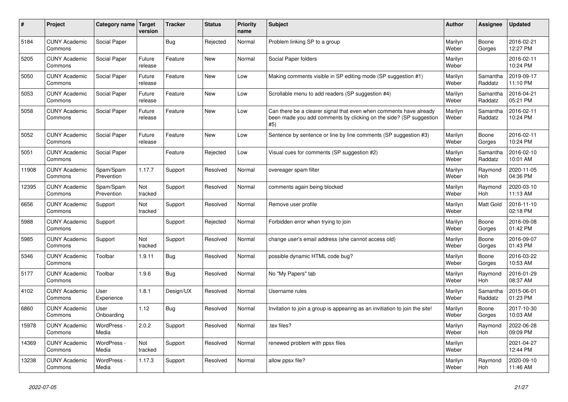| ∦     | Project                         | Category name Target    | version           | <b>Tracker</b> | <b>Status</b> | <b>Priority</b><br>name | <b>Subject</b>                                                                                                                                  | <b>Author</b>    | Assignee              | <b>Updated</b>         |
|-------|---------------------------------|-------------------------|-------------------|----------------|---------------|-------------------------|-------------------------------------------------------------------------------------------------------------------------------------------------|------------------|-----------------------|------------------------|
| 5184  | <b>CUNY Academic</b><br>Commons | Social Paper            |                   | <b>Bug</b>     | Rejected      | Normal                  | Problem linking SP to a group                                                                                                                   | Marilyn<br>Weber | Boone<br>Gorges       | 2016-02-21<br>12:27 PM |
| 5205  | <b>CUNY Academic</b><br>Commons | Social Paper            | Future<br>release | Feature        | <b>New</b>    | Normal                  | Social Paper folders                                                                                                                            | Marilyn<br>Weber |                       | 2016-02-11<br>10:24 PM |
| 5050  | <b>CUNY Academic</b><br>Commons | Social Paper            | Future<br>release | Feature        | <b>New</b>    | Low                     | Making comments visible in SP editing mode (SP suggestion #1)                                                                                   | Marilyn<br>Weber | Samantha<br>Raddatz   | 2019-09-17<br>11:10 PM |
| 5053  | <b>CUNY Academic</b><br>Commons | Social Paper            | Future<br>release | Feature        | New           | Low                     | Scrollable menu to add readers (SP suggestion #4)                                                                                               | Marilyn<br>Weber | Samantha<br>Raddatz   | 2016-04-21<br>05:21 PM |
| 5058  | <b>CUNY Academic</b><br>Commons | Social Paper            | Future<br>release | Feature        | <b>New</b>    | Low                     | Can there be a clearer signal that even when comments have already<br>been made you add comments by clicking on the side? (SP suggestion<br>#5) | Marilyn<br>Weber | Samantha<br>Raddatz   | 2016-02-11<br>10:24 PM |
| 5052  | <b>CUNY Academic</b><br>Commons | Social Paper            | Future<br>release | Feature        | New           | Low                     | Sentence by sentence or line by line comments (SP suggestion #3)                                                                                | Marilyn<br>Weber | Boone<br>Gorges       | 2016-02-11<br>10:24 PM |
| 5051  | <b>CUNY Academic</b><br>Commons | Social Paper            |                   | Feature        | Rejected      | Low                     | Visual cues for comments (SP suggestion #2)                                                                                                     | Marilyn<br>Weber | Samantha<br>Raddatz   | 2016-02-10<br>10:01 AM |
| 11908 | <b>CUNY Academic</b><br>Commons | Spam/Spam<br>Prevention | 1.17.7            | Support        | Resolved      | Normal                  | overeager spam filter                                                                                                                           | Marilyn<br>Weber | Raymond<br>Hoh        | 2020-11-05<br>04:36 PM |
| 12395 | <b>CUNY Academic</b><br>Commons | Spam/Spam<br>Prevention | Not<br>tracked    | Support        | Resolved      | Normal                  | comments again being blocked                                                                                                                    | Marilyn<br>Weber | Raymond<br>Hoh        | 2020-03-10<br>11:13 AM |
| 6656  | <b>CUNY Academic</b><br>Commons | Support                 | Not<br>tracked    | Support        | Resolved      | Normal                  | Remove user profile                                                                                                                             | Marilyn<br>Weber | Matt Gold             | 2016-11-10<br>02:18 PM |
| 5988  | <b>CUNY Academic</b><br>Commons | Support                 |                   | Support        | Rejected      | Normal                  | Forbidden error when trying to join                                                                                                             | Marilyn<br>Weber | Boone<br>Gorges       | 2016-09-08<br>01:42 PM |
| 5985  | <b>CUNY Academic</b><br>Commons | Support                 | Not<br>tracked    | Support        | Resolved      | Normal                  | change user's email address (she cannot access old)                                                                                             | Marilyn<br>Weber | Boone<br>Gorges       | 2016-09-07<br>01:43 PM |
| 5346  | <b>CUNY Academic</b><br>Commons | Toolbar                 | 1.9.11            | <b>Bug</b>     | Resolved      | Normal                  | possible dynamic HTML code bug?                                                                                                                 | Marilyn<br>Weber | Boone<br>Gorges       | 2016-03-22<br>10:53 AM |
| 5177  | <b>CUNY Academic</b><br>Commons | Toolbar                 | 1.9.6             | <b>Bug</b>     | Resolved      | Normal                  | No "My Papers" tab                                                                                                                              | Marilyn<br>Weber | Raymond<br>Hoh        | 2016-01-29<br>08:37 AM |
| 4102  | <b>CUNY Academic</b><br>Commons | User<br>Experience      | 1.8.1             | Design/UX      | Resolved      | Normal                  | Username rules                                                                                                                                  | Marilyn<br>Weber | Samantha<br>Raddatz   | 2015-06-01<br>01:23 PM |
| 6860  | <b>CUNY Academic</b><br>Commons | User<br>Onboarding      | 1.12              | <b>Bug</b>     | Resolved      | Normal                  | Invitation to join a group is appearing as an invitiation to join the site!                                                                     | Marilyn<br>Weber | Boone<br>Gorges       | 2017-10-30<br>10:03 AM |
| 15978 | <b>CUNY Academic</b><br>Commons | WordPress -<br>Media    | 2.0.2             | Support        | Resolved      | Normal                  | tex files?                                                                                                                                      | Marilyn<br>Weber | Raymond<br>Hoh        | 2022-06-28<br>09:09 PM |
| 14369 | <b>CUNY Academic</b><br>Commons | WordPress -<br>Media    | Not<br>tracked    | Support        | Resolved      | Normal                  | renewed problem with ppsx files                                                                                                                 | Marilyn<br>Weber |                       | 2021-04-27<br>12:44 PM |
| 13238 | <b>CUNY Academic</b><br>Commons | WordPress -<br>Media    | 1.17.3            | Support        | Resolved      | Normal                  | allow ppsx file?                                                                                                                                | Marilyn<br>Weber | Raymond<br><b>Hoh</b> | 2020-09-10<br>11:46 AM |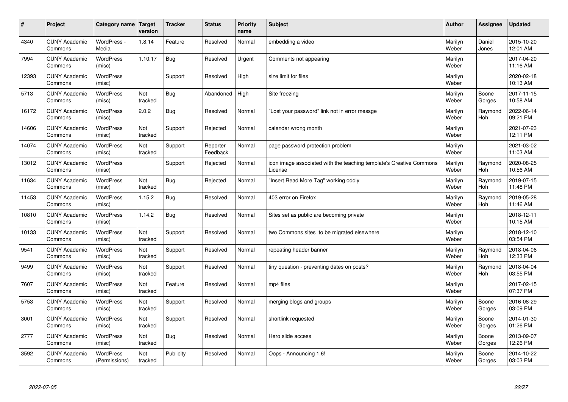| $\sharp$ | Project                         | Category name   Target            | version        | <b>Tracker</b> | <b>Status</b>        | <b>Priority</b><br>name | <b>Subject</b>                                                                 | <b>Author</b>    | Assignee              | <b>Updated</b>         |
|----------|---------------------------------|-----------------------------------|----------------|----------------|----------------------|-------------------------|--------------------------------------------------------------------------------|------------------|-----------------------|------------------------|
| 4340     | <b>CUNY Academic</b><br>Commons | WordPress -<br>Media              | 1.8.14         | Feature        | Resolved             | Normal                  | embedding a video                                                              | Marilyn<br>Weber | Daniel<br>Jones       | 2015-10-20<br>12:01 AM |
| 7994     | <b>CUNY Academic</b><br>Commons | <b>WordPress</b><br>(misc)        | 1.10.17        | Bug            | Resolved             | Urgent                  | Comments not appearing                                                         | Marilyn<br>Weber |                       | 2017-04-20<br>11:16 AM |
| 12393    | <b>CUNY Academic</b><br>Commons | <b>WordPress</b><br>(misc)        |                | Support        | Resolved             | High                    | size limit for files                                                           | Marilyn<br>Weber |                       | 2020-02-18<br>10:13 AM |
| 5713     | <b>CUNY Academic</b><br>Commons | <b>WordPress</b><br>(misc)        | Not<br>tracked | Bug            | Abandoned            | High                    | Site freezing                                                                  | Marilyn<br>Weber | Boone<br>Gorges       | 2017-11-15<br>10:58 AM |
| 16172    | <b>CUNY Academic</b><br>Commons | <b>WordPress</b><br>(misc)        | 2.0.2          | Bug            | Resolved             | Normal                  | "Lost your password" link not in error messge                                  | Marilyn<br>Weber | Raymond<br>Hoh        | 2022-06-14<br>09:21 PM |
| 14606    | <b>CUNY Academic</b><br>Commons | WordPress<br>(misc)               | Not<br>tracked | Support        | Rejected             | Normal                  | calendar wrong month                                                           | Marilyn<br>Weber |                       | 2021-07-23<br>12:11 PM |
| 14074    | <b>CUNY Academic</b><br>Commons | <b>WordPress</b><br>(misc)        | Not<br>tracked | Support        | Reporter<br>Feedback | Normal                  | page password protection problem                                               | Marilyn<br>Weber |                       | 2021-03-02<br>11:03 AM |
| 13012    | <b>CUNY Academic</b><br>Commons | <b>WordPress</b><br>(misc)        |                | Support        | Rejected             | Normal                  | icon image associated with the teaching template's Creative Commons<br>License | Marilyn<br>Weber | Raymond<br>Hoh        | 2020-08-25<br>10:56 AM |
| 11634    | <b>CUNY Academic</b><br>Commons | <b>WordPress</b><br>(misc)        | Not<br>tracked | Bug            | Rejected             | Normal                  | "Insert Read More Tag" working oddly                                           | Marilyn<br>Weber | Raymond<br><b>Hoh</b> | 2019-07-15<br>11:48 PM |
| 11453    | <b>CUNY Academic</b><br>Commons | WordPress<br>(misc)               | 1.15.2         | Bug            | Resolved             | Normal                  | 403 error on Firefox                                                           | Marilyn<br>Weber | Raymond<br>Hoh        | 2019-05-28<br>11:46 AM |
| 10810    | <b>CUNY Academic</b><br>Commons | WordPress<br>(misc)               | 1.14.2         | Bug            | Resolved             | Normal                  | Sites set as public are becoming private                                       | Marilyn<br>Weber |                       | 2018-12-11<br>10:15 AM |
| 10133    | <b>CUNY Academic</b><br>Commons | <b>WordPress</b><br>(misc)        | Not<br>tracked | Support        | Resolved             | Normal                  | two Commons sites to be migrated elsewhere                                     | Marilyn<br>Weber |                       | 2018-12-10<br>03:54 PM |
| 9541     | <b>CUNY Academic</b><br>Commons | WordPress<br>(misc)               | Not<br>tracked | Support        | Resolved             | Normal                  | repeating header banner                                                        | Marilyn<br>Weber | Raymond<br>Hoh        | 2018-04-06<br>12:33 PM |
| 9499     | <b>CUNY Academic</b><br>Commons | WordPress<br>(misc)               | Not<br>tracked | Support        | Resolved             | Normal                  | tiny question - preventing dates on posts?                                     | Marilyn<br>Weber | Raymond<br><b>Hoh</b> | 2018-04-04<br>03:55 PM |
| 7607     | <b>CUNY Academic</b><br>Commons | <b>WordPress</b><br>(misc)        | Not<br>tracked | Feature        | Resolved             | Normal                  | mp4 files                                                                      | Marilyn<br>Weber |                       | 2017-02-15<br>07:37 PM |
| 5753     | <b>CUNY Academic</b><br>Commons | <b>WordPress</b><br>(misc)        | Not<br>tracked | Support        | Resolved             | Normal                  | merging blogs and groups                                                       | Marilyn<br>Weber | Boone<br>Gorges       | 2016-08-29<br>03:09 PM |
| 3001     | <b>CUNY Academic</b><br>Commons | WordPress<br>(misc)               | Not<br>tracked | Support        | Resolved             | Normal                  | shortlink requested                                                            | Marilyn<br>Weber | Boone<br>Gorges       | 2014-01-30<br>01:26 PM |
| 2777     | <b>CUNY Academic</b><br>Commons | WordPress<br>(misc)               | Not<br>tracked | Bug            | Resolved             | Normal                  | Hero slide access                                                              | Marilyn<br>Weber | Boone<br>Gorges       | 2013-09-07<br>12:26 PM |
| 3592     | <b>CUNY Academic</b><br>Commons | <b>WordPress</b><br>(Permissions) | Not<br>tracked | Publicity      | Resolved             | Normal                  | Oops - Announcing 1.6!                                                         | Marilyn<br>Weber | Boone<br>Gorges       | 2014-10-22<br>03:03 PM |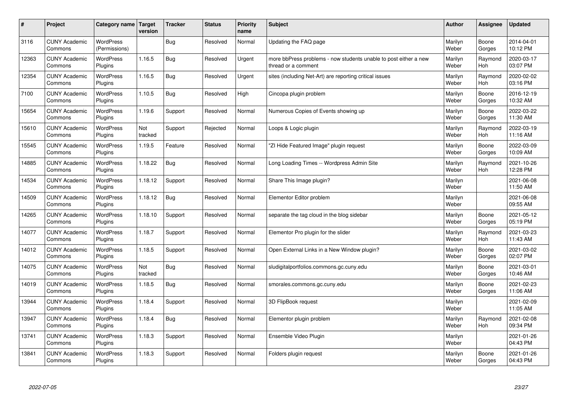| #     | Project                         | Category name   Target            | version        | <b>Tracker</b> | <b>Status</b> | Priority<br>name | <b>Subject</b>                                                                          | <b>Author</b>    | <b>Assignee</b>       | <b>Updated</b>         |
|-------|---------------------------------|-----------------------------------|----------------|----------------|---------------|------------------|-----------------------------------------------------------------------------------------|------------------|-----------------------|------------------------|
| 3116  | <b>CUNY Academic</b><br>Commons | <b>WordPress</b><br>(Permissions) |                | Bug            | Resolved      | Normal           | Updating the FAQ page                                                                   | Marilyn<br>Weber | Boone<br>Gorges       | 2014-04-01<br>10:12 PM |
| 12363 | <b>CUNY Academic</b><br>Commons | <b>WordPress</b><br>Plugins       | 1.16.5         | Bug            | Resolved      | Urgent           | more bbPress problems - now students unable to post either a new<br>thread or a comment | Marilyn<br>Weber | Raymond<br>Hoh        | 2020-03-17<br>03:07 PM |
| 12354 | <b>CUNY Academic</b><br>Commons | <b>WordPress</b><br>Plugins       | 1.16.5         | Bug            | Resolved      | Urgent           | sites (including Net-Art) are reporting critical issues                                 | Marilyn<br>Weber | Raymond<br><b>Hoh</b> | 2020-02-02<br>03:16 PM |
| 7100  | <b>CUNY Academic</b><br>Commons | <b>WordPress</b><br>Plugins       | 1.10.5         | Bug            | Resolved      | High             | Cincopa plugin problem                                                                  | Marilyn<br>Weber | Boone<br>Gorges       | 2016-12-19<br>10:32 AM |
| 15654 | <b>CUNY Academic</b><br>Commons | <b>WordPress</b><br>Plugins       | 1.19.6         | Support        | Resolved      | Normal           | Numerous Copies of Events showing up                                                    | Marilyn<br>Weber | Boone<br>Gorges       | 2022-03-22<br>11:30 AM |
| 15610 | <b>CUNY Academic</b><br>Commons | <b>WordPress</b><br>Plugins       | Not<br>tracked | Support        | Rejected      | Normal           | Loops & Logic plugin                                                                    | Marilyn<br>Weber | Raymond<br>Hoh        | 2022-03-19<br>11:16 AM |
| 15545 | <b>CUNY Academic</b><br>Commons | <b>WordPress</b><br>Plugins       | 1.19.5         | Feature        | Resolved      | Normal           | "ZI Hide Featured Image" plugin request                                                 | Marilyn<br>Weber | Boone<br>Gorges       | 2022-03-09<br>10:09 AM |
| 14885 | <b>CUNY Academic</b><br>Commons | WordPress<br>Plugins              | 1.18.22        | Bug            | Resolved      | Normal           | Long Loading Times -- Wordpress Admin Site                                              | Marilyn<br>Weber | Raymond<br>Hoh        | 2021-10-26<br>12:28 PM |
| 14534 | <b>CUNY Academic</b><br>Commons | <b>WordPress</b><br>Plugins       | 1.18.12        | Support        | Resolved      | Normal           | Share This Image plugin?                                                                | Marilyn<br>Weber |                       | 2021-06-08<br>11:50 AM |
| 14509 | <b>CUNY Academic</b><br>Commons | <b>WordPress</b><br>Plugins       | 1.18.12        | Bug            | Resolved      | Normal           | Elementor Editor problem                                                                | Marilyn<br>Weber |                       | 2021-06-08<br>09:55 AM |
| 14265 | <b>CUNY Academic</b><br>Commons | <b>WordPress</b><br>Plugins       | 1.18.10        | Support        | Resolved      | Normal           | separate the tag cloud in the blog sidebar                                              | Marilyn<br>Weber | Boone<br>Gorges       | 2021-05-12<br>05:19 PM |
| 14077 | <b>CUNY Academic</b><br>Commons | <b>WordPress</b><br>Plugins       | 1.18.7         | Support        | Resolved      | Normal           | Elementor Pro plugin for the slider                                                     | Marilyn<br>Weber | Raymond<br>Hoh        | 2021-03-23<br>11:43 AM |
| 14012 | <b>CUNY Academic</b><br>Commons | <b>WordPress</b><br>Plugins       | 1.18.5         | Support        | Resolved      | Normal           | Open External Links in a New Window plugin?                                             | Marilyn<br>Weber | Boone<br>Gorges       | 2021-03-02<br>02:07 PM |
| 14075 | <b>CUNY Academic</b><br>Commons | WordPress<br>Plugins              | Not<br>tracked | Bug            | Resolved      | Normal           | sludigitalportfolios.commons.gc.cuny.edu                                                | Marilyn<br>Weber | Boone<br>Gorges       | 2021-03-01<br>10:46 AM |
| 14019 | <b>CUNY Academic</b><br>Commons | <b>WordPress</b><br>Plugins       | 1.18.5         | Bug            | Resolved      | Normal           | smorales.commons.gc.cuny.edu                                                            | Marilyn<br>Weber | Boone<br>Gorges       | 2021-02-23<br>11:06 AM |
| 13944 | <b>CUNY Academic</b><br>Commons | WordPress<br>Plugins              | 1.18.4         | Support        | Resolved      | Normal           | 3D FlipBook request                                                                     | Marilyn<br>Weber |                       | 2021-02-09<br>11:05 AM |
| 13947 | <b>CUNY Academic</b><br>Commons | WordPress<br>Plugins              | 1.18.4         | Bug            | Resolved      | Normal           | Elementor plugin problem                                                                | Marilyn<br>Weber | Raymond<br>Hoh        | 2021-02-08<br>09:34 PM |
| 13741 | <b>CUNY Academic</b><br>Commons | WordPress<br>Plugins              | 1.18.3         | Support        | Resolved      | Normal           | Ensemble Video Plugin                                                                   | Marilyn<br>Weber |                       | 2021-01-26<br>04:43 PM |
| 13841 | <b>CUNY Academic</b><br>Commons | WordPress<br>Plugins              | 1.18.3         | Support        | Resolved      | Normal           | Folders plugin request                                                                  | Marilyn<br>Weber | Boone<br>Gorges       | 2021-01-26<br>04:43 PM |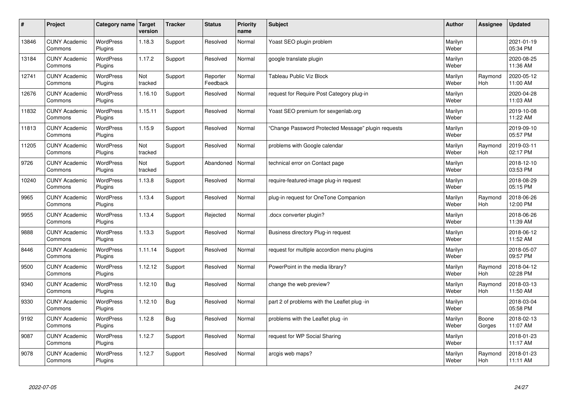| #     | Project                         | Category name   Target      | version        | <b>Tracker</b> | <b>Status</b>        | <b>Priority</b><br>name | <b>Subject</b>                                      | <b>Author</b>    | Assignee              | <b>Updated</b>         |
|-------|---------------------------------|-----------------------------|----------------|----------------|----------------------|-------------------------|-----------------------------------------------------|------------------|-----------------------|------------------------|
| 13846 | <b>CUNY Academic</b><br>Commons | <b>WordPress</b><br>Plugins | 1.18.3         | Support        | Resolved             | Normal                  | Yoast SEO plugin problem                            | Marilyn<br>Weber |                       | 2021-01-19<br>05:34 PM |
| 13184 | <b>CUNY Academic</b><br>Commons | <b>WordPress</b><br>Plugins | 1.17.2         | Support        | Resolved             | Normal                  | google translate plugin                             | Marilyn<br>Weber |                       | 2020-08-25<br>11:36 AM |
| 12741 | <b>CUNY Academic</b><br>Commons | <b>WordPress</b><br>Plugins | Not<br>tracked | Support        | Reporter<br>Feedback | Normal                  | <b>Tableau Public Viz Block</b>                     | Marilyn<br>Weber | Raymond<br>Hoh        | 2020-05-12<br>11:00 AM |
| 12676 | <b>CUNY Academic</b><br>Commons | <b>WordPress</b><br>Plugins | 1.16.10        | Support        | Resolved             | Normal                  | request for Require Post Category plug-in           | Marilyn<br>Weber |                       | 2020-04-28<br>11:03 AM |
| 11832 | <b>CUNY Academic</b><br>Commons | <b>WordPress</b><br>Plugins | 1.15.11        | Support        | Resolved             | Normal                  | Yoast SEO premium for sexgenlab.org                 | Marilyn<br>Weber |                       | 2019-10-08<br>11:22 AM |
| 11813 | <b>CUNY Academic</b><br>Commons | <b>WordPress</b><br>Plugins | 1.15.9         | Support        | Resolved             | Normal                  | 'Change Password Protected Message" plugin requests | Marilyn<br>Weber |                       | 2019-09-10<br>05:57 PM |
| 11205 | <b>CUNY Academic</b><br>Commons | <b>WordPress</b><br>Plugins | Not<br>tracked | Support        | Resolved             | Normal                  | problems with Google calendar                       | Marilyn<br>Weber | Raymond<br>Hoh        | 2019-03-11<br>02:17 PM |
| 9726  | <b>CUNY Academic</b><br>Commons | WordPress<br>Plugins        | Not<br>tracked | Support        | Abandoned            | Normal                  | technical error on Contact page                     | Marilyn<br>Weber |                       | 2018-12-10<br>03:53 PM |
| 10240 | <b>CUNY Academic</b><br>Commons | WordPress<br>Plugins        | 1.13.8         | Support        | Resolved             | Normal                  | require-featured-image plug-in request              | Marilyn<br>Weber |                       | 2018-08-29<br>05:15 PM |
| 9965  | <b>CUNY Academic</b><br>Commons | WordPress<br>Plugins        | 1.13.4         | Support        | Resolved             | Normal                  | plug-in request for OneTone Companion               | Marilyn<br>Weber | Raymond<br><b>Hoh</b> | 2018-06-26<br>12:00 PM |
| 9955  | <b>CUNY Academic</b><br>Commons | <b>WordPress</b><br>Plugins | 1.13.4         | Support        | Rejected             | Normal                  | docx converter plugin?                              | Marilyn<br>Weber |                       | 2018-06-26<br>11:39 AM |
| 9888  | <b>CUNY Academic</b><br>Commons | <b>WordPress</b><br>Plugins | 1.13.3         | Support        | Resolved             | Normal                  | Business directory Plug-in request                  | Marilyn<br>Weber |                       | 2018-06-12<br>11:52 AM |
| 8446  | <b>CUNY Academic</b><br>Commons | <b>WordPress</b><br>Plugins | 1.11.14        | Support        | Resolved             | Normal                  | request for multiple accordion menu plugins         | Marilyn<br>Weber |                       | 2018-05-07<br>09:57 PM |
| 9500  | <b>CUNY Academic</b><br>Commons | WordPress<br>Plugins        | 1.12.12        | Support        | Resolved             | Normal                  | PowerPoint in the media library?                    | Marilyn<br>Weber | Raymond<br>Hoh        | 2018-04-12<br>02:28 PM |
| 9340  | <b>CUNY Academic</b><br>Commons | WordPress<br>Plugins        | 1.12.10        | Bug            | Resolved             | Normal                  | change the web preview?                             | Marilyn<br>Weber | Raymond<br><b>Hoh</b> | 2018-03-13<br>11:50 AM |
| 9330  | <b>CUNY Academic</b><br>Commons | <b>WordPress</b><br>Plugins | 1.12.10        | <b>Bug</b>     | Resolved             | Normal                  | part 2 of problems with the Leaflet plug -in        | Marilyn<br>Weber |                       | 2018-03-04<br>05:58 PM |
| 9192  | <b>CUNY Academic</b><br>Commons | WordPress<br>Plugins        | 1.12.8         | Bug            | Resolved             | Normal                  | problems with the Leaflet plug -in                  | Marilyn<br>Weber | Boone<br>Gorges       | 2018-02-13<br>11:07 AM |
| 9087  | <b>CUNY Academic</b><br>Commons | WordPress<br>Plugins        | 1.12.7         | Support        | Resolved             | Normal                  | request for WP Social Sharing                       | Marilyn<br>Weber |                       | 2018-01-23<br>11:17 AM |
| 9078  | <b>CUNY Academic</b><br>Commons | WordPress<br>Plugins        | 1.12.7         | Support        | Resolved             | Normal                  | arcgis web maps?                                    | Marilyn<br>Weber | Raymond<br>Hoh        | 2018-01-23<br>11:11 AM |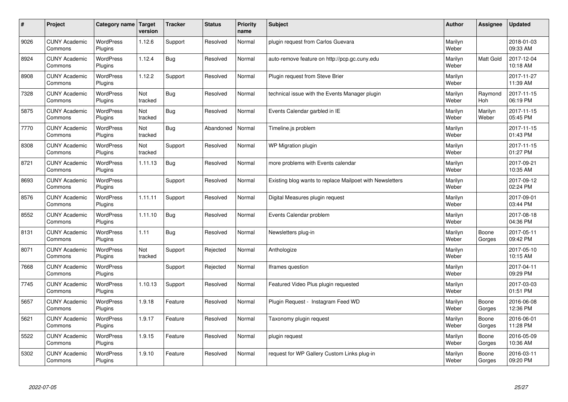| #    | Project                         | Category name               | Target<br>version | <b>Tracker</b> | <b>Status</b> | <b>Priority</b><br>name | <b>Subject</b>                                           | <b>Author</b>    | Assignee              | <b>Updated</b>         |
|------|---------------------------------|-----------------------------|-------------------|----------------|---------------|-------------------------|----------------------------------------------------------|------------------|-----------------------|------------------------|
| 9026 | <b>CUNY Academic</b><br>Commons | <b>WordPress</b><br>Plugins | 1.12.6            | Support        | Resolved      | Normal                  | plugin request from Carlos Guevara                       | Marilyn<br>Weber |                       | 2018-01-03<br>09:33 AM |
| 8924 | <b>CUNY Academic</b><br>Commons | <b>WordPress</b><br>Plugins | 1.12.4            | Bug            | Resolved      | Normal                  | auto-remove feature on http://pcp.gc.cuny.edu            | Marilyn<br>Weber | <b>Matt Gold</b>      | 2017-12-04<br>10:18 AM |
| 8908 | <b>CUNY Academic</b><br>Commons | <b>WordPress</b><br>Plugins | 1.12.2            | Support        | Resolved      | Normal                  | Plugin request from Steve Brier                          | Marilyn<br>Weber |                       | 2017-11-27<br>11:39 AM |
| 7328 | <b>CUNY Academic</b><br>Commons | <b>WordPress</b><br>Plugins | Not<br>tracked    | Bug            | Resolved      | Normal                  | technical issue with the Events Manager plugin           | Marilyn<br>Weber | Raymond<br><b>Hoh</b> | 2017-11-15<br>06:19 PM |
| 5875 | <b>CUNY Academic</b><br>Commons | <b>WordPress</b><br>Plugins | Not<br>tracked    | Bug            | Resolved      | Normal                  | Events Calendar garbled in IE                            | Marilyn<br>Weber | Marilyn<br>Weber      | 2017-11-15<br>05:45 PM |
| 7770 | <b>CUNY Academic</b><br>Commons | WordPress<br>Plugins        | Not<br>tracked    | Bug            | Abandoned     | Normal                  | Timeline.js problem                                      | Marilyn<br>Weber |                       | 2017-11-15<br>01:43 PM |
| 8308 | <b>CUNY Academic</b><br>Commons | <b>WordPress</b><br>Plugins | Not<br>tracked    | Support        | Resolved      | Normal                  | <b>WP Migration plugin</b>                               | Marilyn<br>Weber |                       | 2017-11-15<br>01:27 PM |
| 8721 | <b>CUNY Academic</b><br>Commons | <b>WordPress</b><br>Plugins | 1.11.13           | Bug            | Resolved      | Normal                  | more problems with Events calendar                       | Marilyn<br>Weber |                       | 2017-09-21<br>10:35 AM |
| 8693 | <b>CUNY Academic</b><br>Commons | <b>WordPress</b><br>Plugins |                   | Support        | Resolved      | Normal                  | Existing blog wants to replace Mailpoet with Newsletters | Marilyn<br>Weber |                       | 2017-09-12<br>02:24 PM |
| 8576 | <b>CUNY Academic</b><br>Commons | WordPress<br>Plugins        | 1.11.11           | Support        | Resolved      | Normal                  | Digital Measures plugin request                          | Marilyn<br>Weber |                       | 2017-09-01<br>03:44 PM |
| 8552 | <b>CUNY Academic</b><br>Commons | WordPress<br>Plugins        | 1.11.10           | Bug            | Resolved      | Normal                  | Events Calendar problem                                  | Marilyn<br>Weber |                       | 2017-08-18<br>04:36 PM |
| 8131 | <b>CUNY Academic</b><br>Commons | <b>WordPress</b><br>Plugins | 1.11              | Bug            | Resolved      | Normal                  | Newsletters plug-in                                      | Marilyn<br>Weber | Boone<br>Gorges       | 2017-05-11<br>09:42 PM |
| 8071 | <b>CUNY Academic</b><br>Commons | <b>WordPress</b><br>Plugins | Not<br>tracked    | Support        | Rejected      | Normal                  | Anthologize                                              | Marilyn<br>Weber |                       | 2017-05-10<br>10:15 AM |
| 7668 | <b>CUNY Academic</b><br>Commons | WordPress<br>Plugins        |                   | Support        | Rejected      | Normal                  | Iframes question                                         | Marilyn<br>Weber |                       | 2017-04-11<br>09:29 PM |
| 7745 | <b>CUNY Academic</b><br>Commons | <b>WordPress</b><br>Plugins | 1.10.13           | Support        | Resolved      | Normal                  | Featured Video Plus plugin requested                     | Marilyn<br>Weber |                       | 2017-03-03<br>01:51 PM |
| 5657 | <b>CUNY Academic</b><br>Commons | <b>WordPress</b><br>Plugins | 1.9.18            | Feature        | Resolved      | Normal                  | Plugin Request - Instagram Feed WD                       | Marilyn<br>Weber | Boone<br>Gorges       | 2016-06-08<br>12:36 PM |
| 5621 | <b>CUNY Academic</b><br>Commons | WordPress<br>Plugins        | 1.9.17            | Feature        | Resolved      | Normal                  | Taxonomy plugin request                                  | Marilyn<br>Weber | Boone<br>Gorges       | 2016-06-01<br>11:28 PM |
| 5522 | <b>CUNY Academic</b><br>Commons | <b>WordPress</b><br>Plugins | 1.9.15            | Feature        | Resolved      | Normal                  | plugin request                                           | Marilyn<br>Weber | Boone<br>Gorges       | 2016-05-09<br>10:36 AM |
| 5302 | <b>CUNY Academic</b><br>Commons | <b>WordPress</b><br>Plugins | 1.9.10            | Feature        | Resolved      | Normal                  | request for WP Gallery Custom Links plug-in              | Marilyn<br>Weber | Boone<br>Gorges       | 2016-03-11<br>09:20 PM |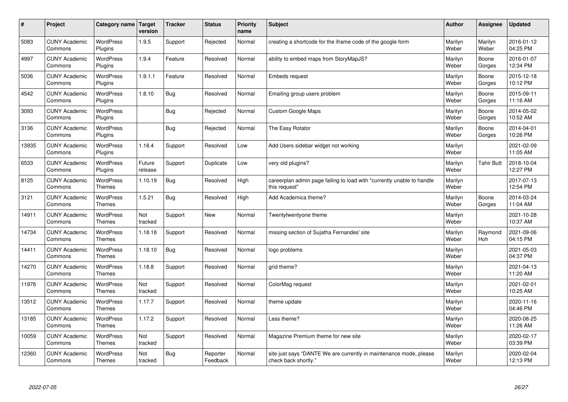| $\sharp$ | Project                         | Category name   Target            | version           | <b>Tracker</b> | <b>Status</b>        | Priority<br>name | <b>Subject</b>                                                                             | <b>Author</b>    | <b>Assignee</b>   | <b>Updated</b>         |
|----------|---------------------------------|-----------------------------------|-------------------|----------------|----------------------|------------------|--------------------------------------------------------------------------------------------|------------------|-------------------|------------------------|
| 5083     | <b>CUNY Academic</b><br>Commons | <b>WordPress</b><br>Plugins       | 1.9.5             | Support        | Rejected             | Normal           | creating a shortcode for the iframe code of the google form                                | Marilyn<br>Weber | Marilyn<br>Weber  | 2016-01-12<br>04:25 PM |
| 4997     | <b>CUNY Academic</b><br>Commons | <b>WordPress</b><br>Plugins       | 1.9.4             | Feature        | Resolved             | Normal           | ability to embed maps from StoryMapJS?                                                     | Marilyn<br>Weber | Boone<br>Gorges   | 2016-01-07<br>12:34 PM |
| 5036     | <b>CUNY Academic</b><br>Commons | WordPress<br>Plugins              | 1.9.1.1           | Feature        | Resolved             | Normal           | <b>Embeds request</b>                                                                      | Marilyn<br>Weber | Boone<br>Gorges   | 2015-12-18<br>10:12 PM |
| 4542     | <b>CUNY Academic</b><br>Commons | <b>WordPress</b><br>Plugins       | 1.8.10            | Bug            | Resolved             | Normal           | Emailing group users problem                                                               | Marilyn<br>Weber | Boone<br>Gorges   | 2015-09-11<br>11:16 AM |
| 3093     | <b>CUNY Academic</b><br>Commons | <b>WordPress</b><br>Plugins       |                   | <b>Bug</b>     | Rejected             | Normal           | <b>Custom Google Maps</b>                                                                  | Marilyn<br>Weber | Boone<br>Gorges   | 2014-05-02<br>10:52 AM |
| 3136     | <b>CUNY Academic</b><br>Commons | <b>WordPress</b><br>Plugins       |                   | Bug            | Rejected             | Normal           | The Easy Rotator                                                                           | Marilyn<br>Weber | Boone<br>Gorges   | 2014-04-01<br>10:26 PM |
| 13935    | <b>CUNY Academic</b><br>Commons | <b>WordPress</b><br>Plugins       | 1.18.4            | Support        | Resolved             | Low              | Add Users sidebar widget not working                                                       | Marilyn<br>Weber |                   | 2021-02-09<br>11:05 AM |
| 6533     | <b>CUNY Academic</b><br>Commons | WordPress<br>Plugins              | Future<br>release | Support        | Duplicate            | Low              | very old plugins?                                                                          | Marilyn<br>Weber | <b>Tahir Butt</b> | 2018-10-04<br>12:27 PM |
| 8125     | <b>CUNY Academic</b><br>Commons | <b>WordPress</b><br><b>Themes</b> | 1.10.19           | Bug            | Resolved             | High             | careerplan admin page failing to load with "currently unable to handle<br>this request"    | Marilyn<br>Weber |                   | 2017-07-13<br>12:54 PM |
| 3121     | <b>CUNY Academic</b><br>Commons | WordPress<br><b>Themes</b>        | 1.5.21            | Bug            | Resolved             | High             | Add Academica theme?                                                                       | Marilyn<br>Weber | Boone<br>Gorges   | 2014-03-24<br>11:04 AM |
| 14911    | <b>CUNY Academic</b><br>Commons | <b>WordPress</b><br><b>Themes</b> | Not<br>tracked    | Support        | <b>New</b>           | Normal           | Twentytwentyone theme                                                                      | Marilyn<br>Weber |                   | 2021-10-28<br>10:37 AM |
| 14734    | <b>CUNY Academic</b><br>Commons | <b>WordPress</b><br><b>Themes</b> | 1.18.18           | Support        | Resolved             | Normal           | missing section of Sujatha Fernandes' site                                                 | Marilyn<br>Weber | Raymond<br>Hoh    | 2021-09-06<br>04:15 PM |
| 14411    | <b>CUNY Academic</b><br>Commons | WordPress<br><b>Themes</b>        | 1.18.10           | Bug            | Resolved             | Normal           | logo problems                                                                              | Marilyn<br>Weber |                   | 2021-05-03<br>04:37 PM |
| 14270    | <b>CUNY Academic</b><br>Commons | WordPress<br><b>Themes</b>        | 1.18.8            | Support        | Resolved             | Normal           | grid theme?                                                                                | Marilyn<br>Weber |                   | 2021-04-13<br>11:20 AM |
| 11976    | <b>CUNY Academic</b><br>Commons | WordPress<br><b>Themes</b>        | Not<br>tracked    | Support        | Resolved             | Normal           | ColorMag request                                                                           | Marilyn<br>Weber |                   | 2021-02-01<br>10:25 AM |
| 13512    | <b>CUNY Academic</b><br>Commons | <b>WordPress</b><br><b>Themes</b> | 1.17.7            | Support        | Resolved             | Normal           | theme update                                                                               | Marilyn<br>Weber |                   | 2020-11-16<br>04:46 PM |
| 13185    | <b>CUNY Academic</b><br>Commons | WordPress<br><b>Themes</b>        | 1.17.2            | Support        | Resolved             | Normal           | Less theme?                                                                                | Marilyn<br>Weber |                   | 2020-08-25<br>11:26 AM |
| 10059    | <b>CUNY Academic</b><br>Commons | WordPress<br>Themes               | Not<br>tracked    | Support        | Resolved             | Normal           | Magazine Premium theme for new site                                                        | Marilyn<br>Weber |                   | 2020-02-17<br>03:39 PM |
| 12360    | <b>CUNY Academic</b><br>Commons | WordPress<br><b>Themes</b>        | Not<br>tracked    | Bug            | Reporter<br>Feedback | Normal           | site just says "DANTE We are currently in maintenance mode, please<br>check back shortly." | Marilyn<br>Weber |                   | 2020-02-04<br>12:13 PM |